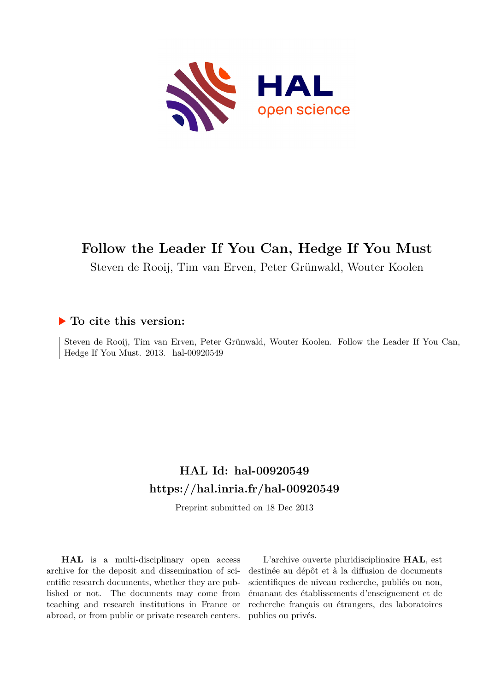

# **Follow the Leader If You Can, Hedge If You Must**

Steven de Rooij, Tim van Erven, Peter Grünwald, Wouter Koolen

# **To cite this version:**

Steven de Rooij, Tim van Erven, Peter Grünwald, Wouter Koolen. Follow the Leader If You Can, Hedge If You Must. 2013. hal-00920549

# **HAL Id: hal-00920549 <https://hal.inria.fr/hal-00920549>**

Preprint submitted on 18 Dec 2013

**HAL** is a multi-disciplinary open access archive for the deposit and dissemination of scientific research documents, whether they are published or not. The documents may come from teaching and research institutions in France or abroad, or from public or private research centers.

L'archive ouverte pluridisciplinaire **HAL**, est destinée au dépôt et à la diffusion de documents scientifiques de niveau recherche, publiés ou non, émanant des établissements d'enseignement et de recherche français ou étrangers, des laboratoires publics ou privés.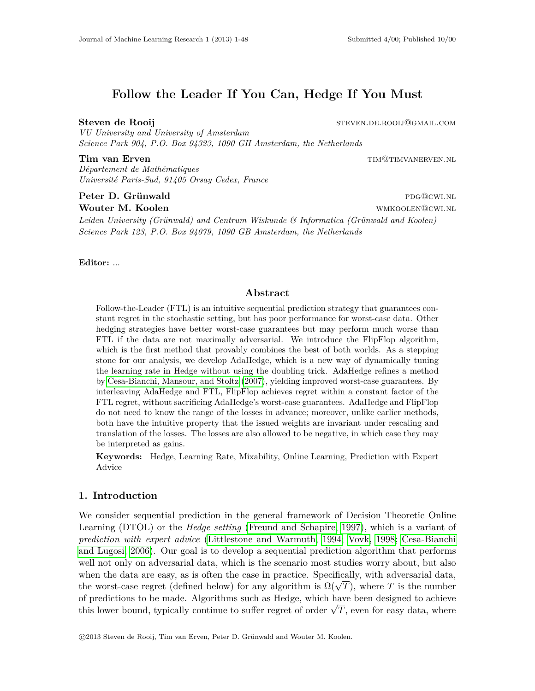# **Follow the Leader If You Can, Hedge If You Must**

# **Steven de Rooij** steven.de.rooil@gmail.com

*VU University and University of Amsterdam Science Park 904, P.O. Box 94323, 1090 GH Amsterdam, the Netherlands*

*Département de Mathématiques Université Paris-Sud, 91405 Orsay Cedex, France*

# **Peter D. Grünwald** pdg@cwi.nl

*Leiden University (Grünwald) and Centrum Wiskunde & Informatica (Grünwald and Koolen) Science Park 123, P.O. Box 94079, 1090 GB Amsterdam, the Netherlands*

**Editor:** ...

**Tim van Erven** times and the set of the set of the set of the set of the set of the set of the set of the set of the set of the set of the set of the set of the set of the set of the set of the set of the set of the set o

**Wouter M. Koolen with a set of the contract of the contract of the contract of the with**  $W$  **with**  $W$  **with**  $W$  **and**  $W$  **and**  $W$  **and**  $W$  **and**  $W$  **and**  $W$  **and**  $W$  **and**  $W$  **and**  $W$  **and**  $W$  **and**  $W$  **and**  $W$  **and**  $W$  **and**  $W$  **and** 

# **Abstract**

Follow-the-Leader (FTL) is an intuitive sequential prediction strategy that guarantees constant regret in the stochastic setting, but has poor performance for worst-case data. Other hedging strategies have better worst-case guarantees but may perform much worse than FTL if the data are not maximally adversarial. We introduce the FlipFlop algorithm, which is the first method that provably combines the best of both worlds. As a stepping stone for our analysis, we develop AdaHedge, which is a new way of dynamically tuning the learning rate in Hedge without using the doubling trick. AdaHedge refines a method by [Cesa-Bianchi, Mansour, and Stoltz](#page-33-0) [\(2007\)](#page-33-0), yielding improved worst-case guarantees. By interleaving AdaHedge and FTL, FlipFlop achieves regret within a constant factor of the FTL regret, without sacrificing AdaHedge's worst-case guarantees. AdaHedge and FlipFlop do not need to know the range of the losses in advance; moreover, unlike earlier methods, both have the intuitive property that the issued weights are invariant under rescaling and translation of the losses. The losses are also allowed to be negative, in which case they may be interpreted as gains.

**Keywords:** Hedge, Learning Rate, Mixability, Online Learning, Prediction with Expert Advice

# **1. Introduction**

We consider sequential prediction in the general framework of Decision Theoretic Online Learning (DTOL) or the *Hedge setting* [\(Freund and Schapire, 1997\)](#page-33-1), which is a variant of *prediction with expert advice* [\(Littlestone and Warmuth, 1994;](#page-34-0) [Vovk, 1998;](#page-34-1) [Cesa-Bianchi](#page-33-2) [and Lugosi, 2006\)](#page-33-2). Our goal is to develop a sequential prediction algorithm that performs well not only on adversarial data, which is the scenario most studies worry about, but also when the data are easy, as is often the case in practice. Specifically, with adversarial data, the worst-case regret (defined below) for any algorithm is  $\Omega(\sqrt{T})$ , where *T* is the number of predictions to be made. Algorithms such as Hedge, which have been designed to achieve this lower bound, typically continue to suffer regret of order  $\sqrt{T}$ , even for easy data, where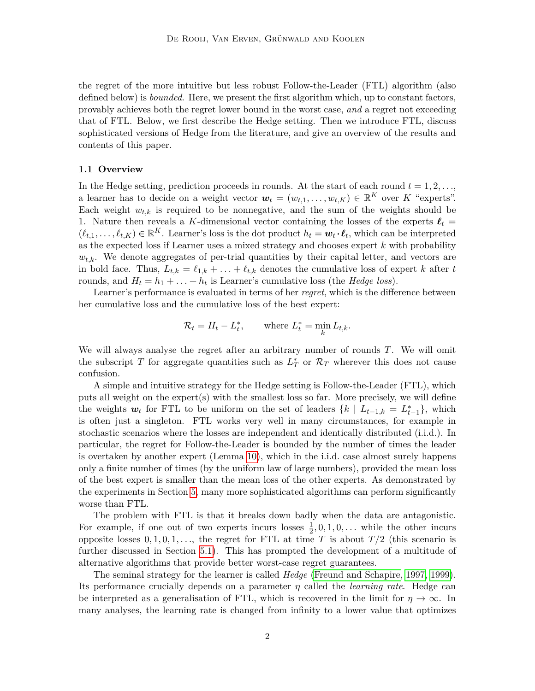the regret of the more intuitive but less robust Follow-the-Leader (FTL) algorithm (also defined below) is *bounded*. Here, we present the first algorithm which, up to constant factors, provably achieves both the regret lower bound in the worst case, *and* a regret not exceeding that of FTL. Below, we first describe the Hedge setting. Then we introduce FTL, discuss sophisticated versions of Hedge from the literature, and give an overview of the results and contents of this paper.

### **1.1 Overview**

In the Hedge setting, prediction proceeds in rounds. At the start of each round  $t = 1, 2, \ldots$ a learner has to decide on a weight vector  $\mathbf{w}_t = (w_{t,1}, \dots, w_{t,K}) \in \mathbb{R}^K$  over K "experts". Each weight  $w_{t,k}$  is required to be nonnegative, and the sum of the weights should be 1. Nature then reveals a *K*-dimensional vector containing the losses of the experts  $\ell_t$  $(\ell_{t,1},\ldots,\ell_{t,K}) \in \mathbb{R}^K$ . Learner's loss is the dot product  $h_t = \boldsymbol{w}_t \cdot \boldsymbol{\ell}_t$ , which can be interpreted as the expected loss if Learner uses a mixed strategy and chooses expert *k* with probability  $w_{t,k}$ . We denote aggregates of per-trial quantities by their capital letter, and vectors are in bold face. Thus,  $L_{t,k} = \ell_{1,k} + \ldots + \ell_{t,k}$  denotes the cumulative loss of expert *k* after *t* rounds, and  $H_t = h_1 + \ldots + h_t$  is Learner's cumulative loss (the *Hedge loss*).

Learner's performance is evaluated in terms of her *regret*, which is the difference between her cumulative loss and the cumulative loss of the best expert:

$$
\mathcal{R}_t = H_t - L_t^*, \qquad \text{where } L_t^* = \min_k L_{t,k}.
$$

We will always analyse the regret after an arbitrary number of rounds *T*. We will omit the subscript *T* for aggregate quantities such as  $L_T^*$  or  $\mathcal{R}_T$  wherever this does not cause confusion.

A simple and intuitive strategy for the Hedge setting is Follow-the-Leader (FTL), which puts all weight on the expert(s) with the smallest loss so far. More precisely, we will define the weights  $w_t$  for FTL to be uniform on the set of leaders  $\{k \mid L_{t-1,k} = L_{t-1}^*\}$ , which is often just a singleton. FTL works very well in many circumstances, for example in stochastic scenarios where the losses are independent and identically distributed (i.i.d.). In particular, the regret for Follow-the-Leader is bounded by the number of times the leader is overtaken by another expert (Lemma [10\)](#page-15-0), which in the i.i.d. case almost surely happens only a finite number of times (by the uniform law of large numbers), provided the mean loss of the best expert is smaller than the mean loss of the other experts. As demonstrated by the experiments in Section [5,](#page-22-0) many more sophisticated algorithms can perform significantly worse than FTL.

The problem with FTL is that it breaks down badly when the data are antagonistic. For example, if one out of two experts incurs losses  $\frac{1}{2}$ , 0, 1, 0, ... while the other incurs opposite losses  $0, 1, 0, 1, \ldots$ , the regret for FTL at time *T* is about  $T/2$  (this scenario is further discussed in Section [5.1\)](#page-24-0). This has prompted the development of a multitude of alternative algorithms that provide better worst-case regret guarantees.

The seminal strategy for the learner is called *Hedge* [\(Freund and Schapire, 1997,](#page-33-1) [1999\)](#page-33-3). Its performance crucially depends on a parameter *η* called the *learning rate*. Hedge can be interpreted as a generalisation of FTL, which is recovered in the limit for  $\eta \to \infty$ . In many analyses, the learning rate is changed from infinity to a lower value that optimizes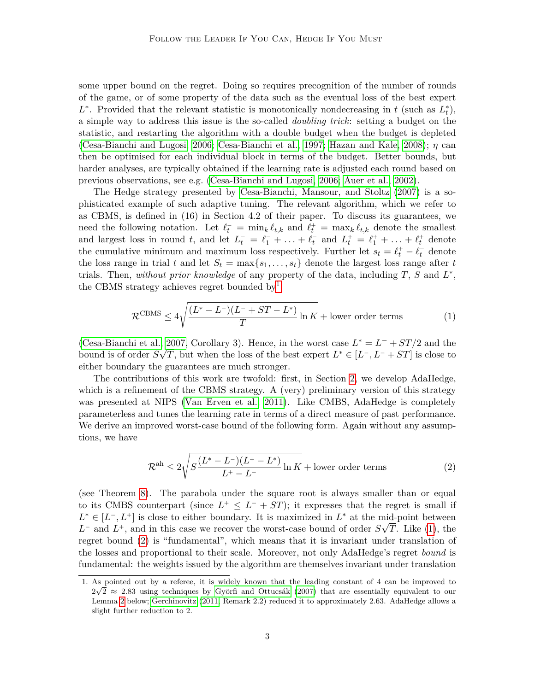some upper bound on the regret. Doing so requires precognition of the number of rounds of the game, or of some property of the data such as the eventual loss of the best expert  $L^*$ . Provided that the relevant statistic is monotonically nondecreasing in *t* (such as  $L_t^*$ ), a simple way to address this issue is the so-called *doubling trick*: setting a budget on the statistic, and restarting the algorithm with a double budget when the budget is depleted [\(Cesa-Bianchi and Lugosi, 2006;](#page-33-2) [Cesa-Bianchi et al., 1997;](#page-33-4) [Hazan and Kale, 2008\)](#page-34-2); *η* can then be optimised for each individual block in terms of the budget. Better bounds, but harder analyses, are typically obtained if the learning rate is adjusted each round based on previous observations, see e.g. [\(Cesa-Bianchi and Lugosi, 2006;](#page-33-2) [Auer et al., 2002\)](#page-33-5).

The Hedge strategy presented by [Cesa-Bianchi, Mansour, and Stoltz](#page-33-0) [\(2007\)](#page-33-0) is a sophisticated example of such adaptive tuning. The relevant algorithm, which we refer to as CBMS, is defined in (16) in Section 4.2 of their paper. To discuss its guarantees, we need the following notation. Let  $\ell_t^- = \min_k \ell_{t,k}$  and  $\ell_t^+ = \max_k \ell_{t,k}$  denote the smallest and largest loss in round *t*, and let  $L_t^- = \ell_1^- + \ldots + \ell_t^-$  and  $L_t^+ = \ell_1^+ + \ldots + \ell_t^+$  denote the cumulative minimum and maximum loss respectively. Further let  $s_t = \ell_t^+ - \ell_t^-$  denote the loss range in trial *t* and let  $S_t = \max\{s_1, \ldots, s_t\}$  denote the largest loss range after *t* trials. Then, *without prior knowledge* of any property of the data, including *T*, *S* and *L* ∗ , the CBMS strategy achieves regret bounded by<sup>[1](#page-3-0)</sup>

<span id="page-3-1"></span>
$$
\mathcal{R}^{\text{CBMS}} \le 4\sqrt{\frac{(L^*-L^-)(L^-+ST-L^*)}{T}\ln K} + \text{lower order terms} \tag{1}
$$

[\(Cesa-Bianchi et al., 2007,](#page-33-0) Corollary 3). Hence, in the worst case  $L^* = L^- + ST/2$  and the bound is of order  $S\sqrt{T}$ , but when the loss of the best expert  $L^* \in [L^-, L^- + ST]$  is close to either boundary the guarantees are much stronger.

The contributions of this work are twofold: first, in Section [2,](#page-5-0) we develop AdaHedge, which is a refinement of the CBMS strategy. A (very) preliminary version of this strategy was presented at NIPS [\(Van Erven et al., 2011\)](#page-34-3). Like CMBS, AdaHedge is completely parameterless and tunes the learning rate in terms of a direct measure of past performance. We derive an improved worst-case bound of the following form. Again without any assumptions, we have

<span id="page-3-2"></span>
$$
\mathcal{R}^{\text{ah}} \le 2\sqrt{S\frac{(L^*-L^-)(L^+-L^*)}{L^+-L^-}\ln K} + \text{lower order terms} \tag{2}
$$

(see Theorem [8\)](#page-12-0). The parabola under the square root is always smaller than or equal to its CMBS counterpart (since  $L^+ \leq L^- + ST$ ); it expresses that the regret is small if  $L^* \in [L^-, L^+]$  is close to either boundary. It is maximized in  $L^*$  at the mid-point between  $L^-$  and  $L^+$ , and in this case we recover the worst-case bound of order  $S\sqrt{T}$ . Like [\(1\)](#page-3-1), the regret bound [\(2\)](#page-3-2) is "fundamental", which means that it is invariant under translation of the losses and proportional to their scale. Moreover, not only AdaHedge's regret *bound* is fundamental: the weights issued by the algorithm are themselves invariant under translation

<span id="page-3-0"></span><sup>1.</sup> As pointed out by a referee, it is widely known that the leading constant of 4 can be improved to  $2\sqrt{2} \approx 2.83$  using techniques by [Györfi and Ottucsák \(2007\)](#page-34-4) that are essentially equivalent to our Lemma [2](#page-8-0) below; [Gerchinovitz \(2011,](#page-33-6) Remark 2.2) reduced it to approximately 2*.*63. AdaHedge allows a slight further reduction to 2.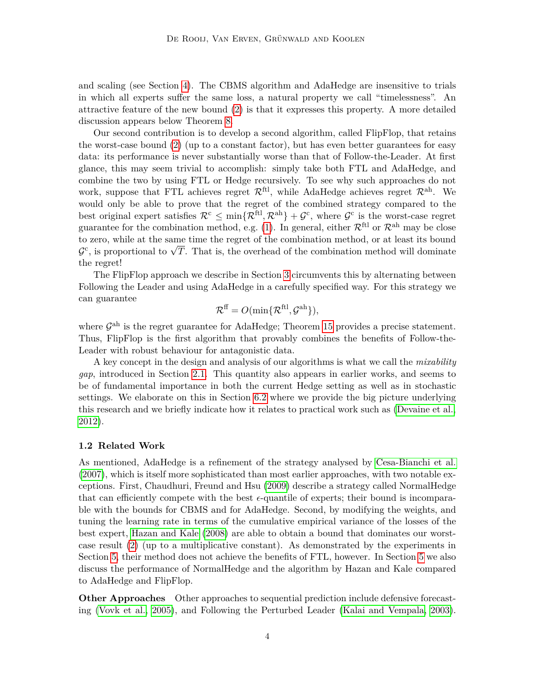and scaling (see Section [4\)](#page-21-0). The CBMS algorithm and AdaHedge are insensitive to trials in which all experts suffer the same loss, a natural property we call "timelessness". An attractive feature of the new bound [\(2\)](#page-3-2) is that it expresses this property. A more detailed discussion appears below Theorem [8.](#page-12-0)

Our second contribution is to develop a second algorithm, called FlipFlop, that retains the worst-case bound [\(2\)](#page-3-2) (up to a constant factor), but has even better guarantees for easy data: its performance is never substantially worse than that of Follow-the-Leader. At first glance, this may seem trivial to accomplish: simply take both FTL and AdaHedge, and combine the two by using FTL or Hedge recursively. To see why such approaches do not work, suppose that FTL achieves regret  $\mathcal{R}^{\text{ftl}}$ , while AdaHedge achieves regret  $\mathcal{R}^{\text{ah}}$ . We would only be able to prove that the regret of the combined strategy compared to the best original expert satisfies  $\mathcal{R}^c \leq \min\{\mathcal{R}^{\text{ftl}}, \mathcal{R}^{\text{ah}}\} + \mathcal{G}^c$ , where  $\mathcal{G}^c$  is the worst-case regret guarantee for the combination method, e.g. [\(1\)](#page-3-1). In general, either  $\mathcal{R}^{\text{ft}}$  or  $\mathcal{R}^{\text{ah}}$  may be close to zero, while at the same time the regret of the combination method, or at least its bound  $\mathcal{G}^c$ , is proportional to  $\sqrt{T}$ . That is, the overhead of the combination method will dominate the regret!

The FlipFlop approach we describe in Section [3](#page-14-0) circumvents this by alternating between Following the Leader and using AdaHedge in a carefully specified way. For this strategy we can guarantee

$$
\mathcal{R}^{\mathrm{ff}} = O(\min\{\mathcal{R}^{\mathrm{ftl}}, \mathcal{G}^{\mathrm{ah}}\}),
$$

where  $\mathcal{G}^{\text{ah}}$  is the regret guarantee for AdaHedge; Theorem [15](#page-20-0) provides a precise statement. Thus, FlipFlop is the first algorithm that provably combines the benefits of Follow-the-Leader with robust behaviour for antagonistic data.

A key concept in the design and analysis of our algorithms is what we call the *mixability gap*, introduced in Section [2.1.](#page-5-1) This quantity also appears in earlier works, and seems to be of fundamental importance in both the current Hedge setting as well as in stochastic settings. We elaborate on this in Section [6.2](#page-32-0) where we provide the big picture underlying this research and we briefly indicate how it relates to practical work such as [\(Devaine et al.,](#page-33-7) [2012\)](#page-33-7).

## <span id="page-4-0"></span>**1.2 Related Work**

As mentioned, AdaHedge is a refinement of the strategy analysed by [Cesa-Bianchi et al.](#page-33-0) [\(2007\)](#page-33-0), which is itself more sophisticated than most earlier approaches, with two notable exceptions. First, Chaudhuri, Freund and Hsu [\(2009\)](#page-33-8) describe a strategy called NormalHedge that can efficiently compete with the best  $\epsilon$ -quantile of experts; their bound is incomparable with the bounds for CBMS and for AdaHedge. Second, by modifying the weights, and tuning the learning rate in terms of the cumulative empirical variance of the losses of the best expert, [Hazan and Kale \(2008\)](#page-34-2) are able to obtain a bound that dominates our worstcase result [\(2\)](#page-3-2) (up to a multiplicative constant). As demonstrated by the experiments in Section [5,](#page-22-0) their method does not achieve the benefits of FTL, however. In Section [5](#page-22-0) we also discuss the performance of NormalHedge and the algorithm by Hazan and Kale compared to AdaHedge and FlipFlop.

**Other Approaches** Other approaches to sequential prediction include defensive forecasting [\(Vovk et al., 2005\)](#page-35-0), and Following the Perturbed Leader [\(Kalai and Vempala, 2003\)](#page-34-5).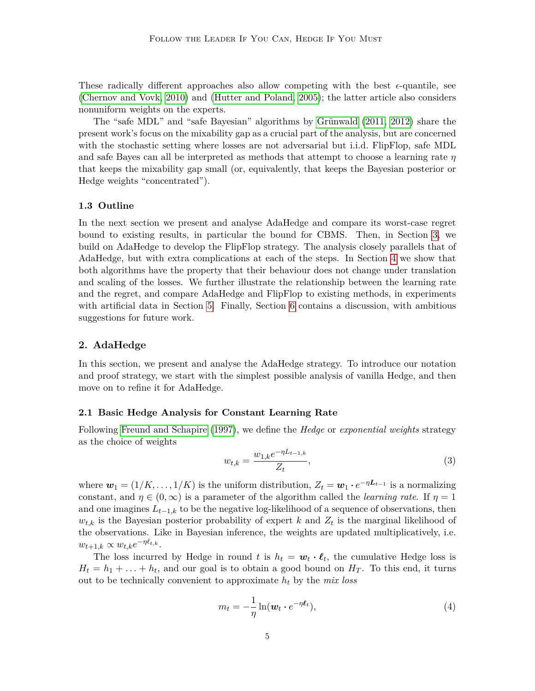These radically different approaches also allow competing with the best  $\epsilon$ -quantile, see [\(Chernov and Vovk, 2010\)](#page-33-9) and [\(Hutter and Poland, 2005\)](#page-34-6); the latter article also considers nonuniform weights on the experts.

The "safe MDL" and "safe Bayesian" algorithms by [Grünwald \(2011,](#page-34-7) [2012\)](#page-34-8) share the present work's focus on the mixability gap as a crucial part of the analysis, but are concerned with the stochastic setting where losses are not adversarial but i.i.d. FlipFlop, safe MDL and safe Bayes can all be interpreted as methods that attempt to choose a learning rate *η* that keeps the mixability gap small (or, equivalently, that keeps the Bayesian posterior or Hedge weights "concentrated").

## **1.3 Outline**

In the next section we present and analyse AdaHedge and compare its worst-case regret bound to existing results, in particular the bound for CBMS. Then, in Section [3,](#page-14-0) we build on AdaHedge to develop the FlipFlop strategy. The analysis closely parallels that of AdaHedge, but with extra complications at each of the steps. In Section [4](#page-21-0) we show that both algorithms have the property that their behaviour does not change under translation and scaling of the losses. We further illustrate the relationship between the learning rate and the regret, and compare AdaHedge and FlipFlop to existing methods, in experiments with artificial data in Section [5.](#page-22-0) Finally, Section [6](#page-31-0) contains a discussion, with ambitious suggestions for future work.

# <span id="page-5-0"></span>**2. AdaHedge**

In this section, we present and analyse the AdaHedge strategy. To introduce our notation and proof strategy, we start with the simplest possible analysis of vanilla Hedge, and then move on to refine it for AdaHedge.

# <span id="page-5-1"></span>**2.1 Basic Hedge Analysis for Constant Learning Rate**

Following [Freund and Schapire](#page-33-1) [\(1997\)](#page-33-1), we define the *Hedge* or *exponential weights* strategy as the choice of weights

<span id="page-5-2"></span>
$$
w_{t,k} = \frac{w_{1,k}e^{-\eta L_{t-1,k}}}{Z_t},\tag{3}
$$

where  $\mathbf{w}_1 = (1/K, \ldots, 1/K)$  is the uniform distribution,  $Z_t = \mathbf{w}_1 \cdot e^{-\eta \mathbf{L}_{t-1}}$  is a normalizing constant, and  $\eta \in (0,\infty)$  is a parameter of the algorithm called the *learning rate*. If  $\eta = 1$ and one imagines  $L_{t-1,k}$  to be the negative log-likelihood of a sequence of observations, then  $w_{t,k}$  is the Bayesian posterior probability of expert *k* and  $Z_t$  is the marginal likelihood of the observations. Like in Bayesian inference, the weights are updated multiplicatively, i.e.  $w_{t+1,k} \propto w_{t,k}e^{-\eta \ell_{t,k}}.$ 

The loss incurred by Hedge in round *t* is  $h_t = \boldsymbol{w}_t \cdot \boldsymbol{\ell}_t$ , the cumulative Hedge loss is  $H_t = h_1 + \ldots + h_t$ , and our goal is to obtain a good bound on  $H_T$ . To this end, it turns out to be technically convenient to approximate *h<sup>t</sup>* by the *mix loss*

<span id="page-5-3"></span>
$$
m_t = -\frac{1}{\eta} \ln(\boldsymbol{w}_t \cdot e^{-\eta \boldsymbol{\ell}_t}), \tag{4}
$$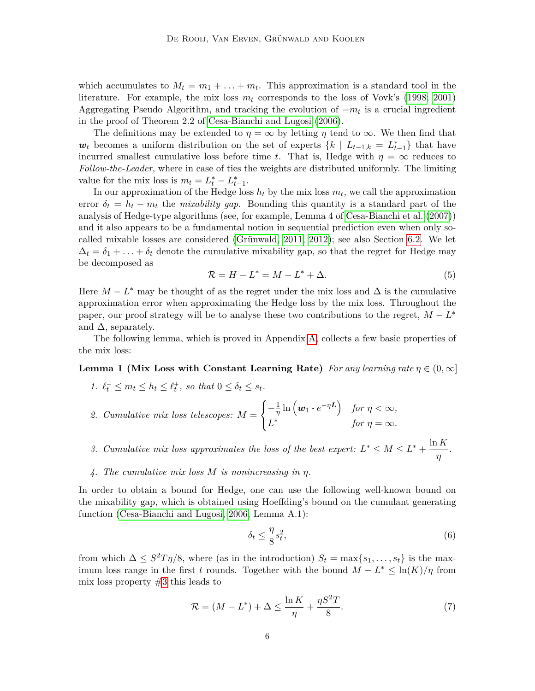which accumulates to  $M_t = m_1 + \ldots + m_t$ . This approximation is a standard tool in the literature. For example, the mix loss *m<sup>t</sup>* corresponds to the loss of Vovk's [\(1998;](#page-34-1) [2001\)](#page-34-9) Aggregating Pseudo Algorithm, and tracking the evolution of −*m<sup>t</sup>* is a crucial ingredient in the proof of Theorem 2.2 of [Cesa-Bianchi and Lugosi \(2006\)](#page-33-2).

The definitions may be extended to  $\eta = \infty$  by letting  $\eta$  tend to  $\infty$ . We then find that  $w_t$  becomes a uniform distribution on the set of experts  $\{k \mid L_{t-1,k} = L_{t-1}^*\}$  that have incurred smallest cumulative loss before time *t*. That is, Hedge with  $\eta = \infty$  reduces to *Follow-the-Leader*, where in case of ties the weights are distributed uniformly. The limiting value for the mix loss is  $m_t = L_t^* - L_{t-1}^*$ .

In our approximation of the Hedge loss  $h_t$  by the mix loss  $m_t$ , we call the approximation error  $\delta_t = h_t - m_t$  the *mixability gap*. Bounding this quantity is a standard part of the analysis of Hedge-type algorithms (see, for example, Lemma 4 of [Cesa-Bianchi et al.](#page-33-0) [\(2007\)](#page-33-0)) and it also appears to be a fundamental notion in sequential prediction even when only socalled mixable losses are considered [\(Grünwald, 2011,](#page-34-7) [2012\)](#page-34-8); see also Section [6.2.](#page-32-0) We let  $\Delta_t = \delta_1 + \ldots + \delta_t$  denote the cumulative mixability gap, so that the regret for Hedge may be decomposed as

<span id="page-6-6"></span>
$$
\mathcal{R} = H - L^* = M - L^* + \Delta. \tag{5}
$$

Here  $M - L^*$  may be thought of as the regret under the mix loss and  $\Delta$  is the cumulative approximation error when approximating the Hedge loss by the mix loss. Throughout the paper, our proof strategy will be to analyse these two contributions to the regret,  $M - L^*$ and  $\Delta$ , separately.

<span id="page-6-2"></span>The following lemma, which is proved in Appendix [A,](#page-35-1) collects a few basic properties of the mix loss:

# <span id="page-6-1"></span>**Lemma 1 (Mix Loss with Constant Learning Rate)** *For any learning rate*  $\eta \in (0, \infty]$

- 1.  $\ell_t^- \leq m_t \leq h_t \leq \ell_t^+$ , so that  $0 \leq \delta_t \leq s_t$ .
- <span id="page-6-7"></span>*2. Cumulative mix loss telescopes: M* =  $\sqrt{ }$ J  $\mathcal{L}$  $-\frac{1}{\eta}$  $\frac{1}{\eta} \ln \left( \boldsymbol{w}_1 \cdot e^{-\eta \boldsymbol{L}} \right)$  for  $\eta < \infty$ ,  $L^*$  *for*  $\eta = \infty$ *.*

<span id="page-6-0"></span>*3.* Cumulative mix loss approximates the loss of the best expert:  $L^* \leq M \leq L^* + \frac{\ln K}{n}$ *η .*

<span id="page-6-3"></span>*4. The cumulative mix loss M is nonincreasing in η.*

In order to obtain a bound for Hedge, one can use the following well-known bound on the mixability gap, which is obtained using Hoeffding's bound on the cumulant generating function [\(Cesa-Bianchi and Lugosi, 2006,](#page-33-2) Lemma A.1):

<span id="page-6-4"></span>
$$
\delta_t \le \frac{\eta}{8} s_t^2,\tag{6}
$$

from which  $\Delta \leq S^2T\eta/8$ , where (as in the introduction)  $S_t = \max\{s_1, \ldots, s_t\}$  is the maximum loss range in the first *t* rounds. Together with the bound  $M - L^* \leq \ln(K)/\eta$  from mix loss property [#3](#page-6-0) this leads to

<span id="page-6-5"></span>
$$
\mathcal{R} = (M - L^*) + \Delta \le \frac{\ln K}{\eta} + \frac{\eta S^2 T}{8}.\tag{7}
$$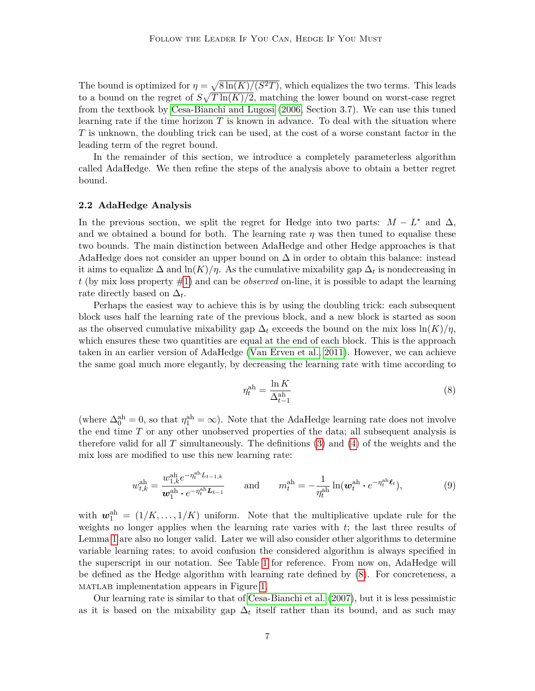The bound is optimized for  $\eta = \sqrt{8 \ln(K)/(S^2T)}$ , which equalizes the two terms. This leads to a bound on the regret of  $S\sqrt{T\ln(K)/2}$ , matching the lower bound on worst-case regret from the textbook by [Cesa-Bianchi and Lugosi \(2006,](#page-33-2) Section 3.7). We can use this tuned learning rate if the time horizon *T* is known in advance. To deal with the situation where *T* is unknown, the doubling trick can be used, at the cost of a worse constant factor in the leading term of the regret bound.

In the remainder of this section, we introduce a completely parameterless algorithm called AdaHedge. We then refine the steps of the analysis above to obtain a better regret bound.

## **2.2 AdaHedge Analysis**

In the previous section, we split the regret for Hedge into two parts:  $M - L^*$  and  $\Delta$ , and we obtained a bound for both. The learning rate  $\eta$  was then tuned to equalise these two bounds. The main distinction between AdaHedge and other Hedge approaches is that AdaHedge does not consider an upper bound on  $\Delta$  in order to obtain this balance: instead it aims to equalize  $\Delta$  and  $\ln(K)/\eta$ . As the cumulative mixability gap  $\Delta_t$  is nondecreasing in *t* (by mix loss property [#1\)](#page-6-1) and can be *observed* on-line, it is possible to adapt the learning rate directly based on  $\Delta_t$ .

Perhaps the easiest way to achieve this is by using the doubling trick: each subsequent block uses half the learning rate of the previous block, and a new block is started as soon as the observed cumulative mixability gap  $\Delta_t$  exceeds the bound on the mix loss  $\ln(K)/\eta$ , which ensures these two quantities are equal at the end of each block. This is the approach taken in an earlier version of AdaHedge [\(Van Erven et al., 2011\)](#page-34-3). However, we can achieve the same goal much more elegantly, by decreasing the learning rate with time according to

<span id="page-7-0"></span>
$$
\eta_t^{\text{ah}} = \frac{\ln K}{\Delta_{t-1}^{\text{ah}}} \tag{8}
$$

(where  $\Delta_0^{\text{ah}} = 0$ , so that  $\eta_1^{\text{ah}} = \infty$ ). Note that the AdaHedge learning rate does not involve the end time *T* or any other unobserved properties of the data; all subsequent analysis is therefore valid for all *T* simultaneously. The definitions [\(3\)](#page-5-2) and [\(4\)](#page-5-3) of the weights and the mix loss are modified to use this new learning rate:

<span id="page-7-1"></span>
$$
w_{t,k}^{\text{ah}} = \frac{w_{1,k}^{\text{ah}} e^{-\eta_t^{\text{ah}} L_{t-1,k}}}{\boldsymbol{w}_1^{\text{ah}} \cdot e^{-\eta_t^{\text{ah}} L_{t-1}}} \quad \text{and} \quad m_t^{\text{ah}} = -\frac{1}{\eta_t^{\text{ah}}} \ln(\boldsymbol{w}_t^{\text{ah}} \cdot e^{-\eta_t^{\text{ah}} \boldsymbol{\ell}_t}), \tag{9}
$$

with  $w_1^{\text{ah}} = (1/K, \ldots, 1/K)$  uniform. Note that the multiplicative update rule for the weights no longer applies when the learning rate varies with *t*; the last three results of Lemma [1](#page-6-2) are also no longer valid. Later we will also consider other algorithms to determine variable learning rates; to avoid confusion the considered algorithm is always specified in the superscript in our notation. See Table [1](#page-8-1) for reference. From now on, AdaHedge will be defined as the Hedge algorithm with learning rate defined by [\(8\)](#page-7-0). For concreteness, a matlab implementation appears in Figure [1.](#page-9-0)

Our learning rate is similar to that of [Cesa-Bianchi et al. \(2007\)](#page-33-0), but it is less pessimistic as it is based on the mixability gap  $\Delta_t$  itself rather than its bound, and as such may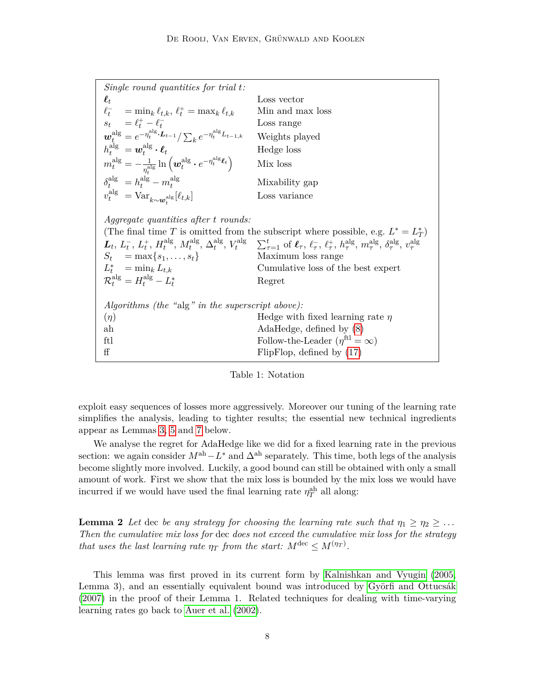| Single round quantities for trial $t$ :                                                                                                                                                |                                                                                                                                                                                                                                                                                                                                                                                                                         |
|----------------------------------------------------------------------------------------------------------------------------------------------------------------------------------------|-------------------------------------------------------------------------------------------------------------------------------------------------------------------------------------------------------------------------------------------------------------------------------------------------------------------------------------------------------------------------------------------------------------------------|
| $\boldsymbol{\ell}_t$                                                                                                                                                                  | Loss vector                                                                                                                                                                                                                                                                                                                                                                                                             |
| $\ell_t^- = \min_k \ell_{t,k}, \ell_t^+ = \max_k \ell_{t,k}$                                                                                                                           | Min and max loss                                                                                                                                                                                                                                                                                                                                                                                                        |
| $s_t = \ell_t^+ - \ell_t^-$                                                                                                                                                            | Loss range                                                                                                                                                                                                                                                                                                                                                                                                              |
| $\mathbf{w}_{t}^{\text{alg}} = e^{-\eta_{t}^{\text{alg}} \cdot \mathbf{L}_{t-1}} / \sum_{k} e^{-\eta_{t}^{\text{alg}} L_{t-1,k}}$                                                      | Weights played                                                                                                                                                                                                                                                                                                                                                                                                          |
| $h_t^{\text{alg}} = \boldsymbol{w}^{\text{alg}}_t \boldsymbol{\cdot} \boldsymbol{\ell}_t$                                                                                              | Hedge loss                                                                                                                                                                                                                                                                                                                                                                                                              |
| $m_t^{\text{alg}} = -\frac{1}{n^{\text{alg}}} \ln \left( \boldsymbol{w}_t^{\text{alg}} \boldsymbol{\cdot} e^{-\eta_t^{\text{alg}} \boldsymbol{\ell}_t} \right)$                        | Mix loss                                                                                                                                                                                                                                                                                                                                                                                                                |
| $\delta_{\epsilon}^{\operatorname{alg}} = h_{\epsilon}^{\operatorname{alg}} - m_{\epsilon}^{\operatorname{alg}}$                                                                       | Mixability gap                                                                                                                                                                                                                                                                                                                                                                                                          |
| $v_t^{\text{alg}} = \text{Var}_{k \sim w_t^{\text{alg}}} [\ell_{t,k}]$                                                                                                                 | Loss variance                                                                                                                                                                                                                                                                                                                                                                                                           |
| <i>Aggregate quantities after t rounds:</i><br>$S_t = \max\{s_1, \ldots, s_t\}$<br>$L_t^* = \min_k L_{t,k}$<br>$\mathcal{R}_{\mu}^{\mathrm{alg}} = H_{\mu}^{\mathrm{alg}} - L_{\mu}^*$ | (The final time T is omitted from the subscript where possible, e.g. $L^* = L_T^*$ )<br>$L_t, L_t^-, L_t^+, H_t^{\text{alg}}, M_t^{\text{alg}}, \Delta_t^{\text{alg}}, V_t^{\text{alg}} \sum_{\tau=1}^t \text{ of } \ell_\tau, \ell_\tau^-, \ell_\tau^+, h_\tau^{\text{alg}}, m_\tau^{\text{alg}}, \delta_\tau^{\text{alg}}, v_\tau^{\text{alg}}$<br>Maximum loss range<br>Cumulative loss of the best expert<br>Regret |
| Algorithms (the "alg" in the superscript above):                                                                                                                                       |                                                                                                                                                                                                                                                                                                                                                                                                                         |
| $(\eta)$                                                                                                                                                                               | Hedge with fixed learning rate $\eta$                                                                                                                                                                                                                                                                                                                                                                                   |
| $_{\rm ah}$                                                                                                                                                                            | $\text{AdaHedge}, \text{ defined by } (8)$                                                                                                                                                                                                                                                                                                                                                                              |
| ftl                                                                                                                                                                                    | Follow-the-Leader $(\eta^{\text{ftl}} = \infty)$                                                                                                                                                                                                                                                                                                                                                                        |
| ff                                                                                                                                                                                     | FlipFlop, defined by $(17)$                                                                                                                                                                                                                                                                                                                                                                                             |

# <span id="page-8-1"></span><span id="page-8-0"></span>Table 1: Notation

exploit easy sequences of losses more aggressively. Moreover our tuning of the learning rate simplifies the analysis, leading to tighter results; the essential new technical ingredients appear as Lemmas [3,](#page-9-1) [5](#page-10-0) and [7](#page-12-1) below.

We analyse the regret for AdaHedge like we did for a fixed learning rate in the previous section: we again consider  $M^{ah}-L^*$  and  $\Delta^{ah}$  separately. This time, both legs of the analysis become slightly more involved. Luckily, a good bound can still be obtained with only a small amount of work. First we show that the mix loss is bounded by the mix loss we would have incurred if we would have used the final learning rate  $\eta_T^{\text{ah}}$  all along:

**Lemma 2** *Let* dec *be any strategy for choosing the learning rate such that*  $\eta_1 \geq \eta_2 \geq \ldots$ *Then the cumulative mix loss for* dec *does not exceed the cumulative mix loss for the strategy that uses the last learning rate*  $\eta_T$  *from the start:*  $M^{\text{dec}} \leq M^{(\eta_T)}$ .

This lemma was first proved in its current form by [Kalnishkan and Vyugin \(2005,](#page-34-10) Lemma 3), and an essentially equivalent bound was introduced by [Györfi and Ottucsák](#page-34-4) [\(2007\)](#page-34-4) in the proof of their Lemma 1. Related techniques for dealing with time-varying learning rates go back to [Auer et al.](#page-33-5) [\(2002\)](#page-33-5).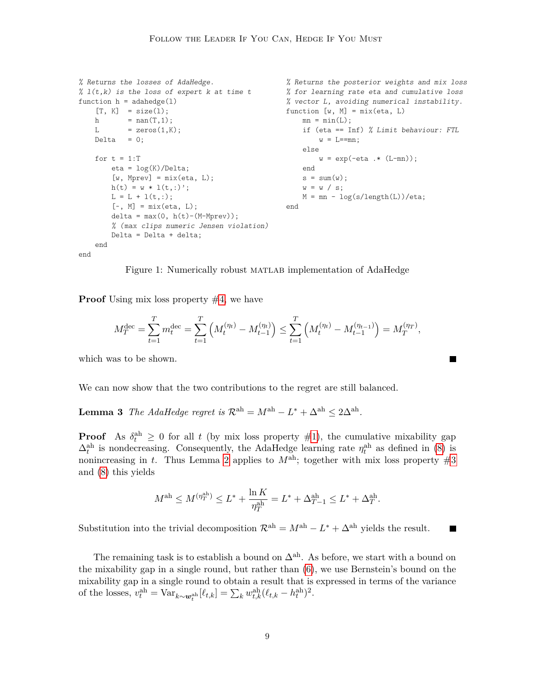```
% Returns the losses of AdaHedge.
% l(t,k) is the loss of expert k at time t
function h = \text{adahedge}(1)[T, K] = size(1);
   h = nan(T, 1);L = zeros(1,K);Delta = 0;for t = 1:Teta = \log(K)/\text{Delta};[w, Mprev] = mix(\text{eta}, L);h(t) = w * 1(t,:);
        L = L + l(t,:);[-, M] = \text{mix}(\text{eta}, L);delta = max(0, h(t)-(M-Mprev));% (max clips numeric Jensen violation)
        Delta = Delta + delta;
    end
                                                    % Returns the posterior weights and mix loss
                                                    % for learning rate eta and cumulative loss
                                                    % vector L, avoiding numerical instability.
                                                    function [w, M] = mix(\text{eta}, L)mn = min(L);if (eta == Inf) % Limit behaviour: FTL
                                                            w = L == mn;else
                                                             w = \exp(-eta \cdot * (L-mn));end
                                                        s = sum(w);w = w / s;M = mn - log(s/length(L))/eta;end
```
end

<span id="page-9-0"></span>Figure 1: Numerically robust MATLAB implementation of AdaHedge

**Proof** Using mix loss property [#4,](#page-6-3) we have

$$
M_T^{\text{dec}} = \sum_{t=1}^T m_t^{\text{dec}} = \sum_{t=1}^T \left( M_t^{(\eta_t)} - M_{t-1}^{(\eta_t)} \right) \le \sum_{t=1}^T \left( M_t^{(\eta_t)} - M_{t-1}^{(\eta_{t-1})} \right) = M_T^{(\eta_T)},
$$

٦

which was to be shown.

<span id="page-9-1"></span>We can now show that the two contributions to the regret are still balanced.

**Lemma 3** *The AdaHedge regret is*  $\mathcal{R}^{ah} = M^{ah} - L^* + \Delta^{ah} \leq 2\Delta^{ah}$ *.* 

**Proof** As  $\delta_t^{\text{ah}} \geq 0$  for all t (by mix loss property [#1\)](#page-6-1), the cumulative mixability gap  $\Delta_t^{\text{ah}}$  is nondecreasing. Consequently, the AdaHedge learning rate  $\eta_t^{\text{ah}}$  as defined in [\(8\)](#page-7-0) is nonincreasing in *t*. Thus Lemma [2](#page-8-0) applies to  $M<sup>ah</sup>$ ; together with mix loss property [#3](#page-6-0) and [\(8\)](#page-7-0) this yields

$$
M^{\text{ah}} \le M^{(\eta_T^{\text{ah}})} \le L^* + \frac{\ln K}{\eta_T^{\text{ah}}} = L^* + \Delta_{T-1}^{\text{ah}} \le L^* + \Delta_T^{\text{ah}}.
$$

Substitution into the trivial decomposition  $\mathcal{R}^{ah} = M^{ah} - L^* + \Delta^{ah}$  yields the result. П

<span id="page-9-2"></span>The remaining task is to establish a bound on  $\Delta^{ah}$ . As before, we start with a bound on the mixability gap in a single round, but rather than [\(6\)](#page-6-4), we use Bernstein's bound on the mixability gap in a single round to obtain a result that is expressed in terms of the variance of the losses,  $v_t^{\text{ah}} = \text{Var}_{k \sim \mathbf{w}_t^{\text{ah}}}[\ell_{t,k}] = \sum_k w_{t,k}^{\text{ah}}(\ell_{t,k} - h_t^{\text{ah}})^2$ .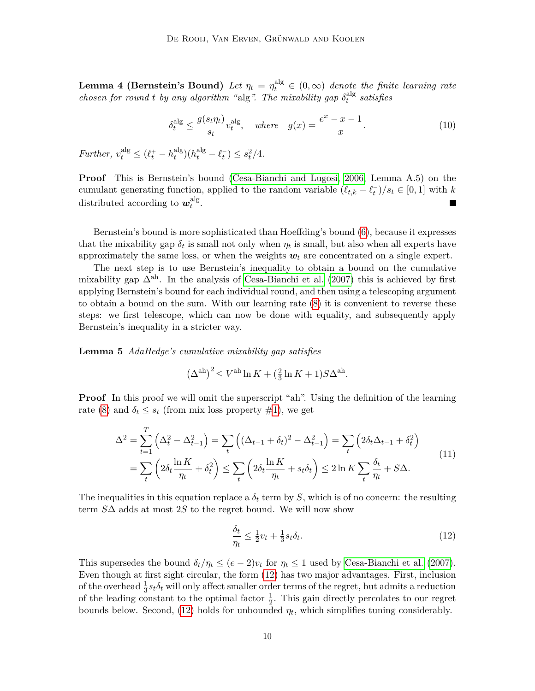**Lemma 4 (Bernstein's Bound)** *Let*  $\eta_t = \eta_t^{\text{alg}} \in (0, \infty)$  *denote the finite learning rate chosen for round t by any algorithm* "alg". The mixability gap  $\delta_t^{\text{alg}}$ *t satisfies*

<span id="page-10-2"></span>
$$
\delta_t^{\text{alg}} \le \frac{g(s_t \eta_t)}{s_t} v_t^{\text{alg}}, \quad \text{where} \quad g(x) = \frac{e^x - x - 1}{x}.
$$

*Further,*  $v_t^{\text{alg}} \leq (\ell_t^+ - h_t^{\text{alg}})$  $t_t^{\text{alg}}$  $(h_t^{\text{alg}} - \ell_t^-) \leq s_t^2/4.$ 

**Proof** This is Bernstein's bound [\(Cesa-Bianchi and Lugosi, 2006,](#page-33-2) Lemma A.5) on the cumulant generating function, applied to the random variable  $(\ell_{t,k} - \ell_t^-)/s_t \in [0,1]$  with *k* distributed according to  $w_t^{\text{alg}}$  $\frac{a_{\rm IS}}{t}$ . П

Bernstein's bound is more sophisticated than Hoeffding's bound [\(6\)](#page-6-4), because it expresses that the mixability gap  $\delta_t$  is small not only when  $\eta_t$  is small, but also when all experts have approximately the same loss, or when the weights  $w_t$  are concentrated on a single expert.

The next step is to use Bernstein's inequality to obtain a bound on the cumulative mixability gap  $\Delta^{ah}$ . In the analysis of [Cesa-Bianchi et al. \(2007\)](#page-33-0) this is achieved by first applying Bernstein's bound for each individual round, and then using a telescoping argument to obtain a bound on the sum. With our learning rate [\(8\)](#page-7-0) it is convenient to reverse these steps: we first telescope, which can now be done with equality, and subsequently apply Bernstein's inequality in a stricter way.

<span id="page-10-0"></span>**Lemma 5** *AdaHedge's cumulative mixability gap satisfies*

$$
(\Delta^{\text{ah}})^2 \le V^{\text{ah}} \ln K + (\frac{2}{3} \ln K + 1) S \Delta^{\text{ah}}.
$$

**Proof** In this proof we will omit the superscript "ah". Using the definition of the learning rate [\(8\)](#page-7-0) and  $\delta_t \leq s_t$  (from mix loss property [#1\)](#page-6-1), we get

<span id="page-10-3"></span>
$$
\Delta^2 = \sum_{t=1}^T \left( \Delta_t^2 - \Delta_{t-1}^2 \right) = \sum_t \left( (\Delta_{t-1} + \delta_t)^2 - \Delta_{t-1}^2 \right) = \sum_t \left( 2\delta_t \Delta_{t-1} + \delta_t^2 \right)
$$
  
= 
$$
\sum_t \left( 2\delta_t \frac{\ln K}{\eta_t} + \delta_t^2 \right) \le \sum_t \left( 2\delta_t \frac{\ln K}{\eta_t} + s_t \delta_t \right) \le 2 \ln K \sum_t \frac{\delta_t}{\eta_t} + S \Delta.
$$
 (11)

The inequalities in this equation replace a  $\delta_t$  term by *S*, which is of no concern: the resulting term *S*∆ adds at most 2*S* to the regret bound. We will now show

<span id="page-10-1"></span>
$$
\frac{\delta_t}{\eta_t} \le \frac{1}{2}v_t + \frac{1}{3}s_t \delta_t. \tag{12}
$$

This supersedes the bound  $\delta_t/\eta_t \leq (e-2)v_t$  for  $\eta_t \leq 1$  used by [Cesa-Bianchi et al.](#page-33-0) [\(2007\)](#page-33-0). Even though at first sight circular, the form [\(12\)](#page-10-1) has two major advantages. First, inclusion of the overhead  $\frac{1}{3} s_t \delta_t$  will only affect smaller order terms of the regret, but admits a reduction of the leading constant to the optimal factor  $\frac{1}{2}$ . This gain directly percolates to our regret bounds below. Second,  $(12)$  holds for unbounded  $\eta_t$ , which simplifies tuning considerably.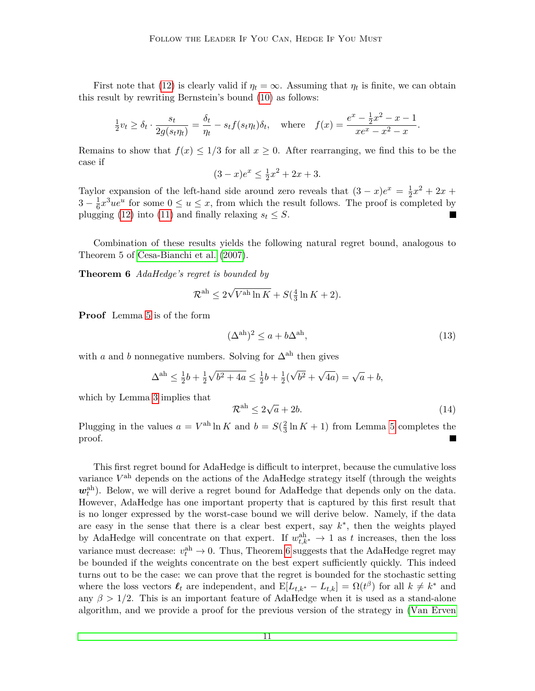First note that [\(12\)](#page-10-1) is clearly valid if  $\eta_t = \infty$ . Assuming that  $\eta_t$  is finite, we can obtain this result by rewriting Bernstein's bound [\(10\)](#page-10-2) as follows:

$$
\frac{1}{2}v_t \ge \delta_t \cdot \frac{s_t}{2g(s_t\eta_t)} = \frac{\delta_t}{\eta_t} - s_t f(s_t\eta_t)\delta_t, \quad \text{where} \quad f(x) = \frac{e^x - \frac{1}{2}x^2 - x - 1}{xe^x - x^2 - x}.
$$

Remains to show that  $f(x) \leq 1/3$  for all  $x \geq 0$ . After rearranging, we find this to be the case if

$$
(3-x)e^x \le \frac{1}{2}x^2 + 2x + 3.
$$

Taylor expansion of the left-hand side around zero reveals that  $(3 - x)e^x = \frac{1}{2}$  $\frac{1}{2}x^2 + 2x +$  $3-\frac{1}{6}$  $\frac{1}{6}x^3ue^u$  for some  $0 \le u \le x$ , from which the result follows. The proof is completed by plugging [\(12\)](#page-10-1) into [\(11\)](#page-10-3) and finally relaxing  $s_t \leq S$ .

Combination of these results yields the following natural regret bound, analogous to Theorem 5 of [Cesa-Bianchi et al. \(2007\)](#page-33-0).

**Theorem 6** *AdaHedge's regret is bounded by*

<span id="page-11-0"></span>
$$
\mathcal{R}^{\text{ah}} \leq 2\sqrt{V^{\text{ah}}\ln K} + S(\frac{4}{3}\ln K + 2).
$$

**Proof** Lemma [5](#page-10-0) is of the form

<span id="page-11-1"></span>
$$
(\Delta^{\text{ah}})^2 \le a + b\Delta^{\text{ah}},\tag{13}
$$

with *a* and *b* nonnegative numbers. Solving for  $\Delta^{ah}$  then gives

$$
\Delta^{\text{ah}} \le \frac{1}{2}b + \frac{1}{2}\sqrt{b^2 + 4a} \le \frac{1}{2}b + \frac{1}{2}(\sqrt{b^2} + \sqrt{4a}) = \sqrt{a} + b,
$$

which by Lemma [3](#page-9-1) implies that

$$
\mathcal{R}^{\text{ah}} \le 2\sqrt{a} + 2b. \tag{14}
$$

Plugging in the values  $a = V^{\text{ah}} \ln K$  and  $b = S(\frac{2}{3})$  $\frac{2}{3} \ln K + 1$ ) from Lemma [5](#page-10-0) completes the proof.

This first regret bound for AdaHedge is difficult to interpret, because the cumulative loss variance  $V^{\text{ah}}$  depends on the actions of the AdaHedge strategy itself (through the weights  $w_t^{\text{ah}}$ ). Below, we will derive a regret bound for AdaHedge that depends only on the data. However, AdaHedge has one important property that is captured by this first result that is no longer expressed by the worst-case bound we will derive below. Namely, if the data are easy in the sense that there is a clear best expert, say  $k^*$ , then the weights played by AdaHedge will concentrate on that expert. If  $w_{t,k^*}$   $\rightarrow$  1 as *t* increases, then the loss variance must decrease:  $v_t^{\text{ah}} \to 0$ . Thus, Theorem [6](#page-11-0) suggests that the AdaHedge regret may be bounded if the weights concentrate on the best expert sufficiently quickly. This indeed turns out to be the case: we can prove that the regret is bounded for the stochastic setting where the loss vectors  $\ell_t$  are independent, and  $E[L_{t,k^*} - L_{t,k}] = \Omega(t^{\beta})$  for all  $k \neq k^*$  and any  $\beta > 1/2$ . This is an important feature of AdaHedge when it is used as a stand-alone algorithm, and we provide a proof for the previous version of the strategy in [\(Van Erven](#page-34-3)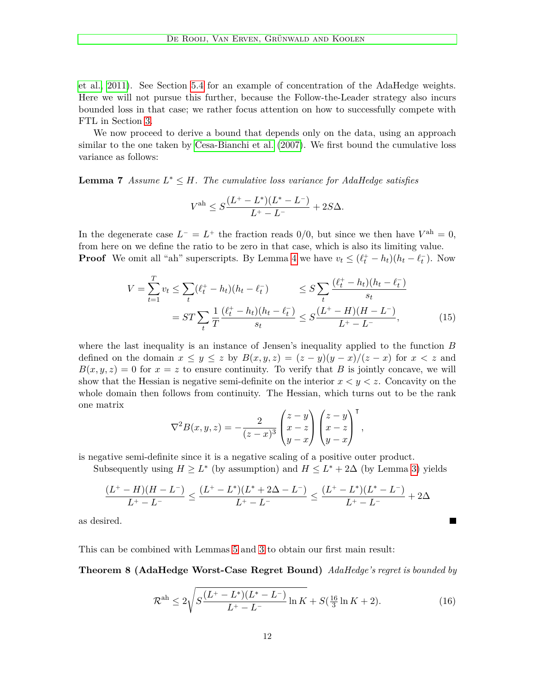[et al., 2011\)](#page-34-3). See Section [5.4](#page-25-0) for an example of concentration of the AdaHedge weights. Here we will not pursue this further, because the Follow-the-Leader strategy also incurs bounded loss in that case; we rather focus attention on how to successfully compete with FTL in Section [3.](#page-14-0)

We now proceed to derive a bound that depends only on the data, using an approach similar to the one taken by [Cesa-Bianchi et al. \(2007\)](#page-33-0). We first bound the cumulative loss variance as follows:

<span id="page-12-1"></span>**Lemma 7** *Assume*  $L^* \leq H$ *. The cumulative loss variance for AdaHedge satisfies* 

$$
V^{\text{ah}} \leq S \frac{(L^+ - L^*)(L^* - L^-)}{L^+ - L^-} + 2S\Delta.
$$

In the degenerate case  $L^- = L^+$  the fraction reads 0/0, but since we then have  $V^{\text{ah}} = 0$ , from here on we define the ratio to be zero in that case, which is also its limiting value. **Proof** We omit all "ah" superscripts. By Lemma [4](#page-9-2) we have  $v_t \leq (\ell_t^+ - h_t)(h_t - \ell_t^-)$ . Now

$$
V = \sum_{t=1}^{T} v_t \le \sum_{t} (\ell_t^+ - h_t)(h_t - \ell_t^-) \le S \sum_{t} \frac{(\ell_t^+ - h_t)(h_t - \ell_t^-)}{s_t}
$$
  
= 
$$
ST \sum_{t} \frac{1}{T} \frac{(\ell_t^+ - h_t)(h_t - \ell_t^-)}{s_t} \le S \frac{(L^+ - H)(H - L^-)}{L^+ - L^-},
$$
 (15)

where the last inequality is an instance of Jensen's inequality applied to the function *B* defined on the domain  $x \leq y \leq z$  by  $B(x, y, z) = (z - y)(y - x)/(z - x)$  for  $x < z$  and  $B(x, y, z) = 0$  for  $x = z$  to ensure continuity. To verify that *B* is jointly concave, we will show that the Hessian is negative semi-definite on the interior  $x < y < z$ . Concavity on the whole domain then follows from continuity. The Hessian, which turns out to be the rank one matrix

$$
\nabla^2 B(x, y, z) = -\frac{2}{(z-x)^3} \begin{pmatrix} z - y \\ x - z \\ y - x \end{pmatrix} \begin{pmatrix} z - y \\ x - z \\ y - x \end{pmatrix}^\mathsf{T},
$$

is negative semi-definite since it is a negative scaling of a positive outer product.

Subsequently using  $H \geq L^*$  (by assumption) and  $H \leq L^* + 2\Delta$  (by Lemma [3\)](#page-9-1) yields

$$
\frac{(L^+-H)(H-L^-)}{L^+-L^-}\leq \frac{(L^+-L^*)(L^*+2\Delta-L^-)}{L^+-L^-}\leq \frac{(L^+-L^*)(L^*-L^-)}{L^+-L^-}+2\Delta
$$

as desired.

This can be combined with Lemmas [5](#page-10-0) and [3](#page-9-1) to obtain our first main result:

**Theorem 8 (AdaHedge Worst-Case Regret Bound)** *AdaHedge's regret is bounded by*

<span id="page-12-2"></span>
$$
\mathcal{R}^{\text{ah}} \le 2\sqrt{S\frac{(L^{+}-L^{*})(L^{*}-L^{-})}{L^{+}-L^{-}}\ln K} + S(\frac{16}{3}\ln K + 2). \tag{16}
$$

<span id="page-12-3"></span><span id="page-12-0"></span> $\blacksquare$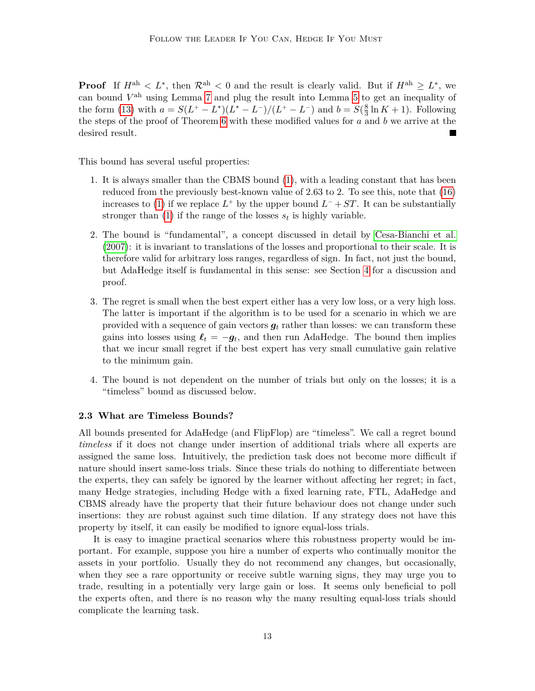**Proof** If  $H^{\text{ah}} < L^*$ , then  $\mathcal{R}^{\text{ah}} < 0$  and the result is clearly valid. But if  $H^{\text{ah}} \geq L^*$ , we can bound  $V^{\text{ah}}$  using Lemma [7](#page-12-1) and plug the result into Lemma [5](#page-10-0) to get an inequality of the form [\(13\)](#page-11-1) with  $a = S(L^{+} - L^{*})(L^{*} - L^{-})/(L^{+} - L^{-})$  and  $b = S(\frac{8}{3})$  $\frac{8}{3} \ln K + 1$ . Following the steps of the proof of Theorem [6](#page-11-0) with these modified values for *a* and *b* we arrive at the desired result.

This bound has several useful properties:

- 1. It is always smaller than the CBMS bound [\(1\)](#page-3-1), with a leading constant that has been reduced from the previously best-known value of 2*.*63 to 2. To see this, note that [\(16\)](#page-12-2) increases to [\(1\)](#page-3-1) if we replace  $L^+$  by the upper bound  $L^- + ST$ . It can be substantially stronger than  $(1)$  if the range of the losses  $s_t$  is highly variable.
- 2. The bound is "fundamental", a concept discussed in detail by [Cesa-Bianchi et al.](#page-33-0) [\(2007\)](#page-33-0): it is invariant to translations of the losses and proportional to their scale. It is therefore valid for arbitrary loss ranges, regardless of sign. In fact, not just the bound, but AdaHedge itself is fundamental in this sense: see Section [4](#page-21-0) for a discussion and proof.
- 3. The regret is small when the best expert either has a very low loss, or a very high loss. The latter is important if the algorithm is to be used for a scenario in which we are provided with a sequence of gain vectors  $g_t$  rather than losses: we can transform these gains into losses using  $\ell_t = -g_t$ , and then run AdaHedge. The bound then implies that we incur small regret if the best expert has very small cumulative gain relative to the minimum gain.
- 4. The bound is not dependent on the number of trials but only on the losses; it is a "timeless" bound as discussed below.

#### **2.3 What are Timeless Bounds?**

All bounds presented for AdaHedge (and FlipFlop) are "timeless". We call a regret bound *timeless* if it does not change under insertion of additional trials where all experts are assigned the same loss. Intuitively, the prediction task does not become more difficult if nature should insert same-loss trials. Since these trials do nothing to differentiate between the experts, they can safely be ignored by the learner without affecting her regret; in fact, many Hedge strategies, including Hedge with a fixed learning rate, FTL, AdaHedge and CBMS already have the property that their future behaviour does not change under such insertions: they are robust against such time dilation. If any strategy does not have this property by itself, it can easily be modified to ignore equal-loss trials.

It is easy to imagine practical scenarios where this robustness property would be important. For example, suppose you hire a number of experts who continually monitor the assets in your portfolio. Usually they do not recommend any changes, but occasionally, when they see a rare opportunity or receive subtle warning signs, they may urge you to trade, resulting in a potentially very large gain or loss. It seems only beneficial to poll the experts often, and there is no reason why the many resulting equal-loss trials should complicate the learning task.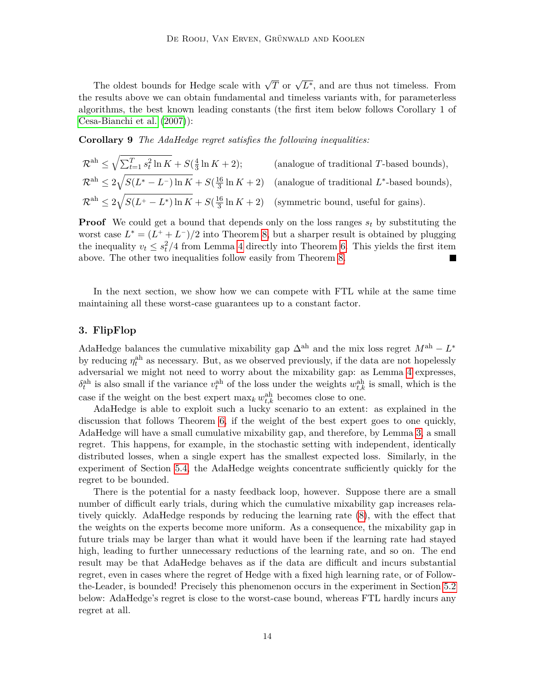The oldest bounds for Hedge scale with  $\sqrt{T}$  or  $\sqrt{L^*}$ , and are thus not timeless. From the results above we can obtain fundamental and timeless variants with, for parameterless algorithms, the best known leading constants (the first item below follows Corollary 1 of [Cesa-Bianchi et al.](#page-33-0) [\(2007\)](#page-33-0)):

**Corollary 9** *The AdaHedge regret satisfies the following inequalities:*

$$
\mathcal{R}^{\text{ah}} \leq \sqrt{\sum_{t=1}^{T} s_t^2 \ln K} + S(\frac{4}{3} \ln K + 2); \qquad \text{(analogue of traditional } T\text{-based bounds)},
$$
  

$$
\mathcal{R}^{\text{ah}} \leq 2\sqrt{S(L^*-L^-)\ln K} + S(\frac{16}{3} \ln K + 2) \qquad \text{(analogue of traditional } L^*\text{-based bounds)},
$$
  

$$
\mathcal{R}^{\text{ah}} \leq 2\sqrt{S(L^*-L^*)\ln K} + S(\frac{16}{3} \ln K + 2) \qquad \text{(symmetric bound, useful for gains)}.
$$

**Proof** We could get a bound that depends only on the loss ranges  $s_t$  by substituting the worst case  $L^* = (L^+ + L^-)/2$  into Theorem [8,](#page-12-0) but a sharper result is obtained by plugging the inequality  $v_t \leq s_t^2/4$  from Lemma [4](#page-9-2) directly into Theorem [6.](#page-11-0) This yields the first item above. The other two inequalities follow easily from Theorem [8.](#page-12-0)  $\blacksquare$ 

In the next section, we show how we can compete with FTL while at the same time maintaining all these worst-case guarantees up to a constant factor.

# <span id="page-14-0"></span>**3. FlipFlop**

AdaHedge balances the cumulative mixability gap  $\Delta^{ah}$  and the mix loss regret  $M^{ah} - L^*$ by reducing  $\eta_t^{\text{ah}}$  as necessary. But, as we observed previously, if the data are not hopelessly adversarial we might not need to worry about the mixability gap: as Lemma [4](#page-9-2) expresses,  $\delta_t^{\text{ah}}$  is also small if the variance  $v_t^{\text{ah}}$  of the loss under the weights  $w_{t,k}^{\text{ah}}$  is small, which is the case if the weight on the best expert  $\max_k w_{t,k}^{\text{ah}}$  becomes close to one.

AdaHedge is able to exploit such a lucky scenario to an extent: as explained in the discussion that follows Theorem [6,](#page-11-0) if the weight of the best expert goes to one quickly, AdaHedge will have a small cumulative mixability gap, and therefore, by Lemma [3,](#page-9-1) a small regret. This happens, for example, in the stochastic setting with independent, identically distributed losses, when a single expert has the smallest expected loss. Similarly, in the experiment of Section [5.4,](#page-25-0) the AdaHedge weights concentrate sufficiently quickly for the regret to be bounded.

There is the potential for a nasty feedback loop, however. Suppose there are a small number of difficult early trials, during which the cumulative mixability gap increases relatively quickly. AdaHedge responds by reducing the learning rate [\(8\)](#page-7-0), with the effect that the weights on the experts become more uniform. As a consequence, the mixability gap in future trials may be larger than what it would have been if the learning rate had stayed high, leading to further unnecessary reductions of the learning rate, and so on. The end result may be that AdaHedge behaves as if the data are difficult and incurs substantial regret, even in cases where the regret of Hedge with a fixed high learning rate, or of Followthe-Leader, is bounded! Precisely this phenomenon occurs in the experiment in Section [5.2](#page-24-1) below: AdaHedge's regret is close to the worst-case bound, whereas FTL hardly incurs any regret at all.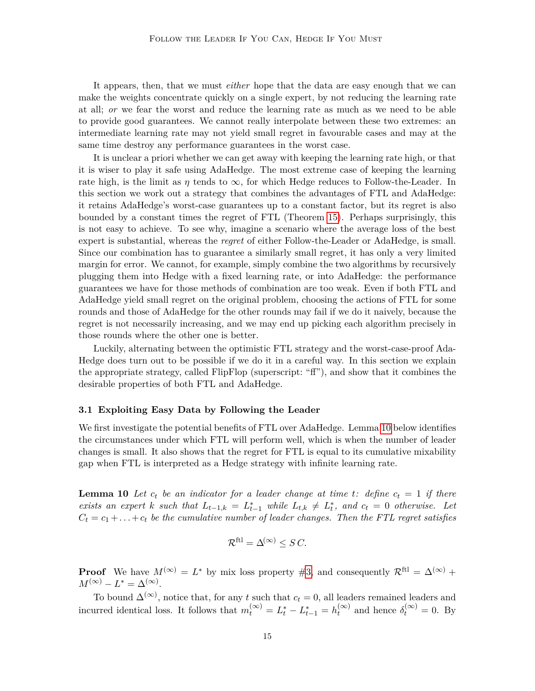It appears, then, that we must *either* hope that the data are easy enough that we can make the weights concentrate quickly on a single expert, by not reducing the learning rate at all; *or* we fear the worst and reduce the learning rate as much as we need to be able to provide good guarantees. We cannot really interpolate between these two extremes: an intermediate learning rate may not yield small regret in favourable cases and may at the same time destroy any performance guarantees in the worst case.

It is unclear a priori whether we can get away with keeping the learning rate high, or that it is wiser to play it safe using AdaHedge. The most extreme case of keeping the learning rate high, is the limit as  $\eta$  tends to  $\infty$ , for which Hedge reduces to Follow-the-Leader. In this section we work out a strategy that combines the advantages of FTL and AdaHedge: it retains AdaHedge's worst-case guarantees up to a constant factor, but its regret is also bounded by a constant times the regret of FTL (Theorem [15\)](#page-20-0). Perhaps surprisingly, this is not easy to achieve. To see why, imagine a scenario where the average loss of the best expert is substantial, whereas the *regret* of either Follow-the-Leader or AdaHedge, is small. Since our combination has to guarantee a similarly small regret, it has only a very limited margin for error. We cannot, for example, simply combine the two algorithms by recursively plugging them into Hedge with a fixed learning rate, or into AdaHedge: the performance guarantees we have for those methods of combination are too weak. Even if both FTL and AdaHedge yield small regret on the original problem, choosing the actions of FTL for some rounds and those of AdaHedge for the other rounds may fail if we do it naively, because the regret is not necessarily increasing, and we may end up picking each algorithm precisely in those rounds where the other one is better.

Luckily, alternating between the optimistic FTL strategy and the worst-case-proof Ada-Hedge does turn out to be possible if we do it in a careful way. In this section we explain the appropriate strategy, called FlipFlop (superscript: "ff"), and show that it combines the desirable properties of both FTL and AdaHedge.

#### **3.1 Exploiting Easy Data by Following the Leader**

We first investigate the potential benefits of FTL over AdaHedge. Lemma [10](#page-15-0) below identifies the circumstances under which FTL will perform well, which is when the number of leader changes is small. It also shows that the regret for FTL is equal to its cumulative mixability gap when FTL is interpreted as a Hedge strategy with infinite learning rate.

<span id="page-15-0"></span>**Lemma 10** Let  $c_t$  be an indicator for a leader change at time t: define  $c_t = 1$  if there *exists an expert k such that*  $L_{t-1,k} = L_{t-1}^*$  *while*  $L_{t,k} \neq L_t^*$ *, and*  $c_t = 0$  *otherwise.* Let  $C_t = c_1 + \ldots + c_t$  be the cumulative number of leader changes. Then the FTL regret satisfies

$$
\mathcal{R}^{\text{ftl}} = \Delta^{(\infty)} \leq S \, C.
$$

**Proof** We have  $M^{(\infty)} = L^*$  by mix loss property [#3,](#page-6-0) and consequently  $\mathcal{R}^{\text{ftl}} = \Delta^{(\infty)}$  +  $M^{(\infty)} - L^* = \Delta^{(\infty)}$ .

To bound  $\Delta^{(\infty)}$ , notice that, for any *t* such that  $c_t = 0$ , all leaders remained leaders and incurred identical loss. It follows that  $m_t^{(\infty)} = L_t^* - L_{t-1}^* = h_t^{(\infty)}$  $t_t^{(\infty)}$  and hence  $\delta_t^{(\infty)} = 0$ . By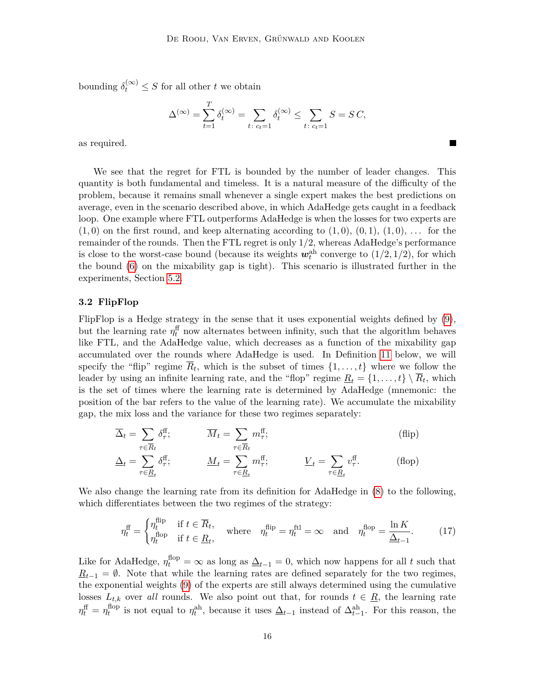bounding  $\delta_t^{(\infty)} \leq S$  for all other *t* we obtain

$$
\Delta^{(\infty)} = \sum_{t=1}^{T} \delta_t^{(\infty)} = \sum_{t \colon c_t = 1} \delta_t^{(\infty)} \le \sum_{t \colon c_t = 1} S = SC,
$$

 $\blacksquare$ 

as required.

We see that the regret for FTL is bounded by the number of leader changes. This quantity is both fundamental and timeless. It is a natural measure of the difficulty of the problem, because it remains small whenever a single expert makes the best predictions on average, even in the scenario described above, in which AdaHedge gets caught in a feedback loop. One example where FTL outperforms AdaHedge is when the losses for two experts are  $(1,0)$  on the first round, and keep alternating according to  $(1,0)$ ,  $(0,1)$ ,  $(1,0)$ , ... for the remainder of the rounds. Then the FTL regret is only 1*/*2, whereas AdaHedge's performance is close to the worst-case bound (because its weights  $w_t^{\text{ah}}$  converge to  $(1/2, 1/2)$ , for which the bound  $(6)$  on the mixability gap is tight). This scenario is illustrated further in the experiments, Section [5.2.](#page-24-1)

# **3.2 FlipFlop**

FlipFlop is a Hedge strategy in the sense that it uses exponential weights defined by [\(9\)](#page-7-1), but the learning rate  $\eta_t^{\text{ff}}$  now alternates between infinity, such that the algorithm behaves like FTL, and the AdaHedge value, which decreases as a function of the mixability gap accumulated over the rounds where AdaHedge is used. In Definition [11](#page-17-0) below, we will specify the "flip" regime  $R_t$ , which is the subset of times  $\{1, \ldots, t\}$  where we follow the leader by using an infinite learning rate, and the "flop" regime  $\underline{R}_t = \{1, \ldots, t\} \setminus R_t$ , which is the set of times where the learning rate is determined by AdaHedge (mnemonic: the position of the bar refers to the value of the learning rate). We accumulate the mixability gap, the mix loss and the variance for these two regimes separately:

$$
\overline{\Delta}_t = \sum_{\tau \in \overline{R}_t} \delta_{\tau}^{\text{ff}}; \qquad \overline{M}_t = \sum_{\tau \in \overline{R}_t} m_{\tau}^{\text{ff}}; \qquad (flip)
$$

$$
\underline{\Delta}_t = \sum_{\tau \in \underline{R}_t} \delta_{\tau}^{\text{ff}}; \qquad \underline{M}_t = \sum_{\tau \in \underline{R}_t} m_{\tau}^{\text{ff}}; \qquad \underline{V}_t = \sum_{\tau \in \underline{R}_t} v_{\tau}^{\text{ff}}.
$$
 (flop)

We also change the learning rate from its definition for AdaHedge in [\(8\)](#page-7-0) to the following, which differentiates between the two regimes of the strategy:

<span id="page-16-0"></span>
$$
\eta_t^{\text{ff}} = \begin{cases} \eta_t^{\text{flip}} & \text{if } t \in \overline{R}_t, \\ \eta_t^{\text{flop}} & \text{if } t \in \underline{R}_t, \end{cases} \quad \text{where} \quad \eta_t^{\text{flip}} = \eta_t^{\text{ftl}} = \infty \quad \text{and} \quad \eta_t^{\text{flop}} = \frac{\ln K}{\Delta_{t-1}}. \tag{17}
$$

Like for AdaHedge,  $\eta_t^{\text{flop}} = \infty$  as long as  $\underline{\Delta}_{t-1} = 0$ , which now happens for all *t* such that  $R$ <sub>t−1</sub> =  $\emptyset$ . Note that while the learning rates are defined separately for the two regimes, the exponential weights [\(9\)](#page-7-1) of the experts are still always determined using the cumulative losses  $L_{t,k}$  over *all* rounds. We also point out that, for rounds  $t \in \underline{R}$ , the learning rate  $\eta_t^{\text{ff}} = \eta_t^{\text{flop}}$ <sup>*t*</sup></sub> is not equal to  $\eta_t^{\text{ah}}$ , because it uses  $\underline{\Delta}_{t-1}$  instead of  $\Delta_{t-1}^{\text{ah}}$ . For this reason, the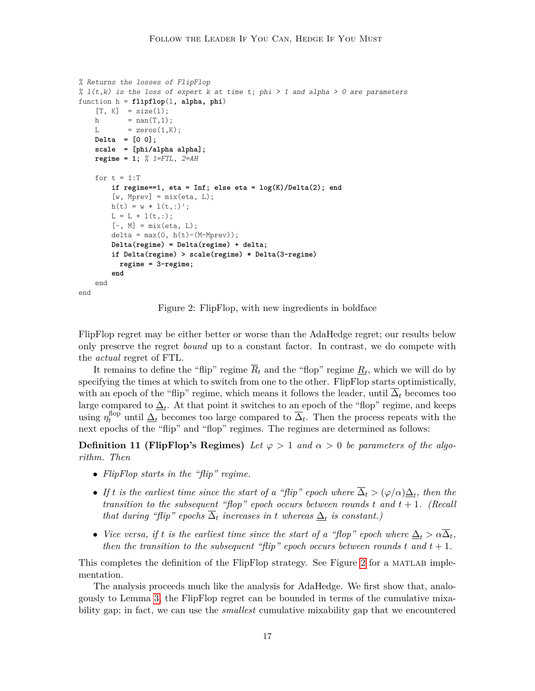```
% Returns the losses of FlipFlop
% l(t,k) is the loss of expert k at time t; phi > 1 and alpha > 0 are parameters
function h = flipflop(l, alpha, phi)
    [T, K] = size(1);
   h = nan(T,1);L = zeros(1,K);Delta = [0 0];
    scale = [phi/alpha alpha];
   regime = 1; % 1=FTL, 2=AH
   for t = 1:Tif regime==1, eta = Inf; else eta = log(K)/Delta(2); end
        [w, Mprev] = mix(\text{eta}, L);h(t) = w * 1(t,:);
       L = L + l(t,:);[-, M] = \text{mix}(\text{eta}, L);delta = max(0, h(t)-(M-Mprev));Delta(regime) = Delta(regime) + delta;
        if Delta(regime) > scale(regime) * Delta(3-regime)
          regime = 3-regime;
        end
    end
end
```
<span id="page-17-1"></span><span id="page-17-0"></span>Figure 2: FlipFlop, with new ingredients in boldface

FlipFlop regret may be either better or worse than the AdaHedge regret; our results below only preserve the regret *bound* up to a constant factor. In contrast, we do compete with the *actual* regret of FTL.

It remains to define the "flip" regime  $R_t$  and the "flop" regime  $\underline{R}_t$ , which we will do by specifying the times at which to switch from one to the other. FlipFlop starts optimistically, with an epoch of the "flip" regime, which means it follows the leader, until  $\Delta_t$  becomes too large compared to  $\underline{\Delta}_t$ . At that point it switches to an epoch of the "flop" regime, and keeps using  $\eta_t^{\text{flop}}$  until  $\Delta_t$  becomes too large compared to  $\overline{\Delta}_t$ . Then the process repeats with the next epochs of the "flip" and "flop" regimes. The regimes are determined as follows:

**Definition 11 (FlipFlop's Regimes)** *Let*  $\varphi > 1$  *and*  $\alpha > 0$  *be parameters of the algorithm. Then*

- *FlipFlop starts in the "flip" regime.*
- If *t* is the earliest time since the start of a "flip" epoch where  $\Delta_t > (\varphi/\alpha)\underline{\Delta}_t$ , then the *transition to the subsequent "flop" epoch occurs between rounds t and t* + 1*. (Recall that during "flip" epochs*  $\Delta_t$  *increases in t whereas*  $\underline{\Delta}_t$  *is constant.*)
- *Vice versa, if t is the earliest time since the start of a "flop" epoch where*  $\Delta_t > \alpha \overline{\Delta}_t$ , *then the transition to the subsequent "flip" epoch occurs between rounds t and t* + 1*.*

This completes the definition of the FlipFlop strategy. See Figure [2](#page-17-1) for a MATLAB implementation.

The analysis proceeds much like the analysis for AdaHedge. We first show that, analogously to Lemma [3,](#page-9-1) the FlipFlop regret can be bounded in terms of the cumulative mixability gap; in fact, we can use the *smallest* cumulative mixability gap that we encountered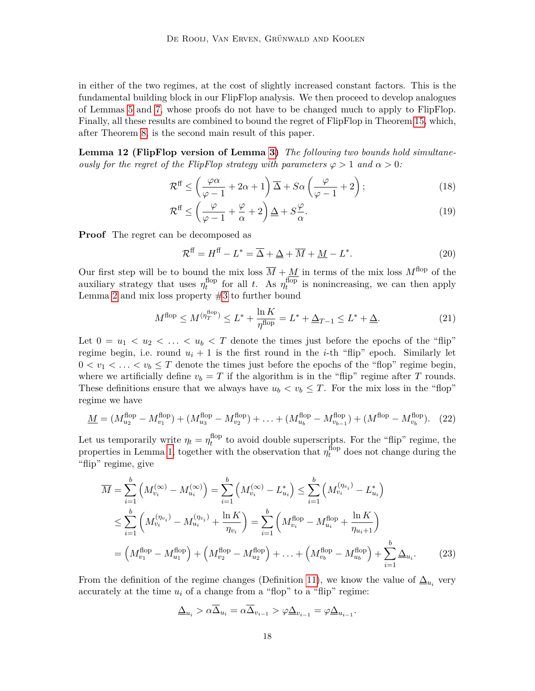in either of the two regimes, at the cost of slightly increased constant factors. This is the fundamental building block in our FlipFlop analysis. We then proceed to develop analogues of Lemmas [5](#page-10-0) and [7,](#page-12-1) whose proofs do not have to be changed much to apply to FlipFlop. Finally, all these results are combined to bound the regret of FlipFlop in Theorem [15,](#page-20-0) which, after Theorem [8,](#page-12-0) is the second main result of this paper.

<span id="page-18-4"></span>**Lemma 12 (FlipFlop version of Lemma [3\)](#page-9-1)** *The following two bounds hold simultaneously for the regret of the FlipFlop strategy with parameters*  $\varphi > 1$  *and*  $\alpha > 0$ :

$$
\mathcal{R}^{\text{ff}} \le \left(\frac{\varphi \alpha}{\varphi - 1} + 2\alpha + 1\right) \overline{\Delta} + S\alpha \left(\frac{\varphi}{\varphi - 1} + 2\right); \tag{18}
$$

$$
\mathcal{R}^{\text{ff}} \le \left(\frac{\varphi}{\varphi - 1} + \frac{\varphi}{\alpha} + 2\right) \underline{\Delta} + S \frac{\varphi}{\alpha}.\tag{19}
$$

**Proof** The regret can be decomposed as

<span id="page-18-6"></span><span id="page-18-5"></span><span id="page-18-3"></span>
$$
\mathcal{R}^{\text{ff}} = H^{\text{ff}} - L^* = \overline{\Delta} + \underline{\Delta} + \overline{M} + \underline{M} - L^*.
$$
 (20)

Our first step will be to bound the mix loss  $\overline{M} + \underline{M}$  in terms of the mix loss  $M^{\text{flop}}$  of the auxiliary strategy that uses  $\eta_t^{\text{flop}}$  $t_t^{\text{flop}}$  for all *t*. As  $\eta_t^{\text{flop}}$  $t_t^{\text{hop}}$  is nonincreasing, we can then apply Lemma [2](#page-8-0) and mix loss property  $#3$  to further bound

<span id="page-18-2"></span>
$$
M^{\text{flop}} \le M^{(\eta_T^{\text{flop}})} \le L^* + \frac{\ln K}{\eta^{\text{flop}}} = L^* + \Delta_{T-1} \le L^* + \Delta. \tag{21}
$$

Let  $0 = u_1 < u_2 < \ldots < u_b < T$  denote the times just before the epochs of the "flip" regime begin, i.e. round  $u_i + 1$  is the first round in the *i*-th "flip" epoch. Similarly let  $0 < v_1 < \ldots < v_b \leq T$  denote the times just before the epochs of the "flop" regime begin, where we artificially define  $v_b = T$  if the algorithm is in the "flip" regime after T rounds. These definitions ensure that we always have  $u_b < v_b \leq T$ . For the mix loss in the "flop" regime we have

<span id="page-18-0"></span>
$$
\underline{M} = (M_{u_2}^{\text{flop}} - M_{v_1}^{\text{flop}}) + (M_{u_3}^{\text{flop}} - M_{v_2}^{\text{flop}}) + \ldots + (M_{u_b}^{\text{flop}} - M_{v_{b-1}}^{\text{flop}}) + (M^{\text{flop}} - M_{v_b}^{\text{flop}}). \tag{22}
$$

Let us temporarily write  $\eta_t = \eta_t^{\text{flop}}$  $t_t^{\text{top}}$  to avoid double superscripts. For the "flip" regime, the properties in Lemma [1,](#page-6-2) together with the observation that  $\eta_t^{\text{flop}}$  does not change during the "flip" regime, give

$$
\overline{M} = \sum_{i=1}^{b} \left( M_{v_i}^{(\infty)} - M_{u_i}^{(\infty)} \right) = \sum_{i=1}^{b} \left( M_{v_i}^{(\infty)} - L_{u_i}^* \right) \le \sum_{i=1}^{b} \left( M_{v_i}^{(\eta_{v_i})} - L_{u_i}^* \right)
$$
\n
$$
\le \sum_{i=1}^{b} \left( M_{v_i}^{(\eta_{v_i})} - M_{u_i}^{(\eta_{v_i})} + \frac{\ln K}{\eta_{v_i}} \right) = \sum_{i=1}^{b} \left( M_{v_i}^{\text{flop}} - M_{u_i}^{\text{flop}} + \frac{\ln K}{\eta_{u_i+1}} \right)
$$
\n
$$
= \left( M_{v_1}^{\text{flop}} - M_{u_1}^{\text{flop}} \right) + \left( M_{v_2}^{\text{flop}} - M_{u_2}^{\text{flop}} \right) + \dots + \left( M_{v_b}^{\text{flop}} - M_{u_b}^{\text{flop}} \right) + \sum_{i=1}^{b} \Delta_{u_i}.
$$
\n(23)

From the definition of the regime changes (Definition [11\)](#page-17-0), we know the value of  $\Delta_{u_i}$  very accurately at the time  $u_i$  of a change from a "flop" to a "flip" regime:

<span id="page-18-1"></span>
$$
\underline{\Delta}_{u_i} > \alpha \overline{\Delta}_{u_i} = \alpha \overline{\Delta}_{v_{i-1}} > \varphi \underline{\Delta}_{v_{i-1}} = \varphi \underline{\Delta}_{u_{i-1}}.
$$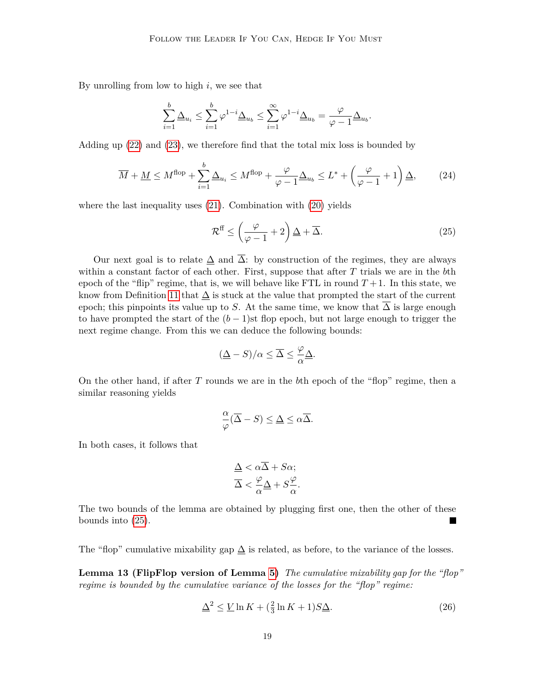By unrolling from low to high *i*, we see that

$$
\sum_{i=1}^b \underline{\Delta}_{u_i} \leq \sum_{i=1}^b \varphi^{1-i} \underline{\Delta}_{u_b} \leq \sum_{i=1}^\infty \varphi^{1-i} \underline{\Delta}_{u_b} = \frac{\varphi}{\varphi-1} \underline{\Delta}_{u_b}.
$$

Adding up [\(22\)](#page-18-0) and [\(23\)](#page-18-1), we therefore find that the total mix loss is bounded by

$$
\overline{M} + \underline{M} \le M^{\text{flop}} + \sum_{i=1}^{b} \underline{\Delta}_{u_i} \le M^{\text{flop}} + \frac{\varphi}{\varphi - 1} \underline{\Delta}_{u_b} \le L^* + \left(\frac{\varphi}{\varphi - 1} + 1\right) \underline{\Delta},\tag{24}
$$

where the last inequality uses [\(21\)](#page-18-2). Combination with [\(20\)](#page-18-3) yields

<span id="page-19-0"></span>
$$
\mathcal{R}^{\text{ff}} \le \left(\frac{\varphi}{\varphi - 1} + 2\right) \underline{\Delta} + \overline{\Delta}.\tag{25}
$$

Our next goal is to relate  $\Delta$  and  $\overline{\Delta}$ : by construction of the regimes, they are always within a constant factor of each other. First, suppose that after *T* trials we are in the *b*th epoch of the "flip" regime, that is, we will behave like FTL in round  $T+1$ . In this state, we know from Definition [11](#page-17-0) that  $\Delta$  is stuck at the value that prompted the start of the current epoch; this pinpoints its value up to *S*. At the same time, we know that  $\Delta$  is large enough to have prompted the start of the  $(b-1)$ st flop epoch, but not large enough to trigger the next regime change. From this we can deduce the following bounds:

$$
(\underline{\Delta} - S)/\alpha \leq \overline{\Delta} \leq \frac{\varphi}{\alpha} \underline{\Delta}.
$$

On the other hand, if after *T* rounds we are in the *b*th epoch of the "flop" regime, then a similar reasoning yields

$$
\frac{\alpha}{\varphi}(\overline{\Delta} - S) \le \underline{\Delta} \le \alpha \overline{\Delta}.
$$

In both cases, it follows that

$$
\Delta < \alpha \Delta + S\alpha; \\
\overline{\Delta} < \frac{\varphi}{\alpha} \Delta + S\frac{\varphi}{\alpha}.
$$

The two bounds of the lemma are obtained by plugging first one, then the other of these bounds into [\(25\)](#page-19-0).

<span id="page-19-2"></span>The "flop" cumulative mixability gap  $\Delta$  is related, as before, to the variance of the losses.

**Lemma 13 (FlipFlop version of Lemma [5\)](#page-10-0)** *The cumulative mixability gap for the "flop" regime is bounded by the cumulative variance of the losses for the "flop" regime:*

<span id="page-19-1"></span>
$$
\underline{\Delta}^2 \le \underline{V} \ln K + \left(\frac{2}{3} \ln K + 1\right) S \underline{\Delta}.\tag{26}
$$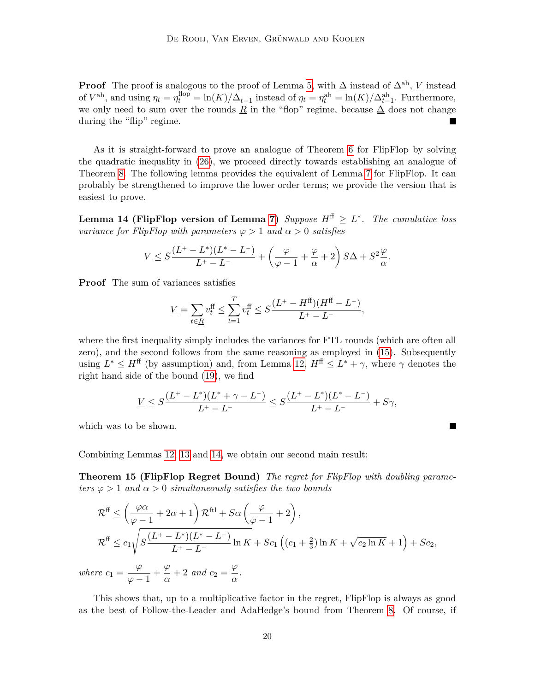Proof The proof is analogous to the proof of Lemma [5,](#page-10-0) with  $\Delta$  instead of  $\Delta^{ah}$ , *V* instead of  $V^{\text{ah}}$ , and using  $\eta_t = \eta_t^{\text{flop}} = \ln(K)/\Delta_{t-1}$  instead of  $\eta_t = \eta_t^{\text{ah}} = \ln(K)/\Delta_{t-1}^{\text{ah}}$ . Furthermore, we only need to sum over the rounds  $\underline{R}$  in the "flop" regime, because  $\Delta$  does not change during the "flip" regime.

As it is straight-forward to prove an analogue of Theorem [6](#page-11-0) for FlipFlop by solving the quadratic inequality in [\(26\)](#page-19-1), we proceed directly towards establishing an analogue of Theorem [8.](#page-12-0) The following lemma provides the equivalent of Lemma [7](#page-12-1) for FlipFlop. It can probably be strengthened to improve the lower order terms; we provide the version that is easiest to prove.

<span id="page-20-1"></span>**Lemma 14 (FlipFlop version of Lemma [7\)](#page-12-1)** *Suppose*  $H^{\text{ff}} \geq L^*$ *. The cumulative loss variance for FlipFlop with parameters*  $\varphi > 1$  *and*  $\alpha > 0$  *satisfies* 

$$
\underline{V} \leq S \frac{(L^+-L^*)(L^*-L^-)}{L^+-L^-} + \left(\frac{\varphi}{\varphi-1} + \frac{\varphi}{\alpha} + 2\right)S\Delta + S^2 \frac{\varphi}{\alpha}.
$$

**Proof** The sum of variances satisfies

$$
\underline{V} = \sum_{t \in \underline{R}} v_t^{\text{ff}} \le \sum_{t=1}^{T} v_t^{\text{ff}} \le S \frac{(L^+ - H^{\text{ff}})(H^{\text{ff}} - L^-)}{L^+ - L^-},
$$

where the first inequality simply includes the variances for FTL rounds (which are often all zero), and the second follows from the same reasoning as employed in [\(15\)](#page-12-3). Subsequently using  $L^* \leq H^{\text{ff}}$  (by assumption) and, from Lemma [12,](#page-18-4)  $H^{\text{ff}} \leq L^* + \gamma$ , where  $\gamma$  denotes the right hand side of the bound [\(19\)](#page-18-5), we find

$$
\underline{V} \leq S \frac{(L^+ - L^*)(L^* + \gamma - L^-)}{L^+ - L^-} \leq S \frac{(L^+ - L^*)(L^* - L^-)}{L^+ - L^-} + S\gamma,
$$

which was to be shown.

<span id="page-20-0"></span>Combining Lemmas [12,](#page-18-4) [13](#page-19-2) and [14,](#page-20-1) we obtain our second main result:

**Theorem 15 (FlipFlop Regret Bound)** *The regret for FlipFlop with doubling parameters*  $\varphi > 1$  *and*  $\alpha > 0$  *simultaneously satisfies the two bounds* 

$$
\mathcal{R}^{\text{ff}} \leq \left(\frac{\varphi\alpha}{\varphi - 1} + 2\alpha + 1\right) \mathcal{R}^{\text{ftl}} + S\alpha \left(\frac{\varphi}{\varphi - 1} + 2\right),
$$
\n
$$
\mathcal{R}^{\text{ff}} \leq c_1 \sqrt{S \frac{(L^+ - L^*)(L^* - L^-)}{L^+ - L^-}} \ln K + Sc_1 \left((c_1 + \frac{2}{3})\ln K + \sqrt{c_2 \ln K} + 1\right) + Sc_2,
$$
\nwhere  $c_1 = \frac{\varphi}{\varphi - 1} + \frac{\varphi}{\alpha} + 2$  and  $c_2 = \frac{\varphi}{\alpha}$ .

This shows that, up to a multiplicative factor in the regret, FlipFlop is always as good as the best of Follow-the-Leader and AdaHedge's bound from Theorem [8.](#page-12-0) Of course, if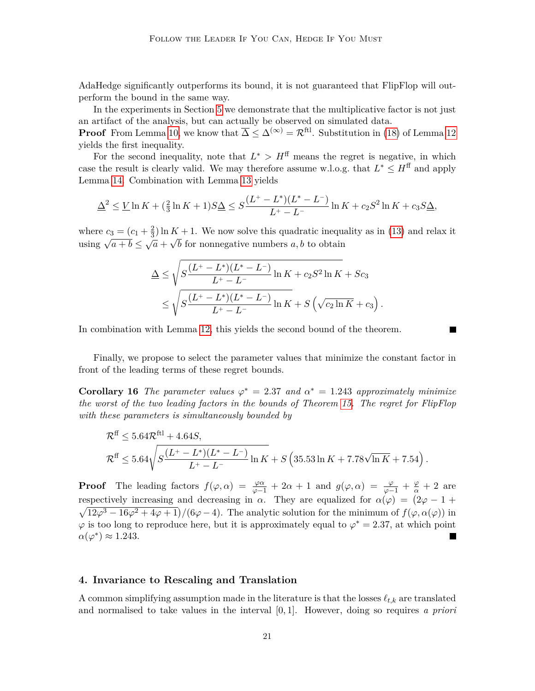AdaHedge significantly outperforms its bound, it is not guaranteed that FlipFlop will outperform the bound in the same way.

In the experiments in Section [5](#page-22-0) we demonstrate that the multiplicative factor is not just an artifact of the analysis, but can actually be observed on simulated data.

**Proof** From Lemma [10,](#page-15-0) we know that  $\overline{\Delta} \leq \Delta^{(\infty)} = \mathcal{R}^{\text{ftl}}$ . Substitution in [\(18\)](#page-18-6) of Lemma [12](#page-18-4) yields the first inequality.

For the second inequality, note that  $L^* > H^{\text{ff}}$  means the regret is negative, in which case the result is clearly valid. We may therefore assume w.l.o.g. that  $L^* \leq H^{\text{ff}}$  and apply Lemma [14.](#page-20-1) Combination with Lemma [13](#page-19-2) yields

$$
\underline{\Delta}^2 \leq \underline{V} \ln K + \left(\frac{2}{3} \ln K + 1\right) S \underline{\Delta} \leq S \frac{(L^+ - L^*)(L^* - L^-)}{L^+ - L^-} \ln K + c_2 S^2 \ln K + c_3 S \underline{\Delta},
$$

where  $c_3 = (c_1 + \frac{2}{3})$  $\frac{2}{3}$  ln  $K + 1$ . We now solve this quadratic inequality as in [\(13\)](#page-11-1) and relax it using  $\sqrt{a+b} \leq \sqrt{a} + \sqrt{b}$  for nonnegative numbers *a, b* to obtain

$$
\Delta \leq \sqrt{S \frac{(L^+ - L^*)(L^* - L^-)}{L^+ - L^-} \ln K + c_2 S^2 \ln K + Sc_3}
$$
  
\$\leq \sqrt{S \frac{(L^+ - L^\*)(L^\* - L^-)}{L^+ - L^-} \ln K + S \left(\sqrt{c\_2 \ln K} + c\_3\right).

In combination with Lemma [12,](#page-18-4) this yields the second bound of the theorem.

Finally, we propose to select the parameter values that minimize the constant factor in front of the leading terms of these regret bounds.

<span id="page-21-1"></span>**Corollary 16** *The parameter values*  $\varphi^* = 2.37$  *and*  $\alpha^* = 1.243$  *approximately minimize the worst of the two leading factors in the bounds of Theorem [15.](#page-20-0) The regret for FlipFlop with these parameters is simultaneously bounded by*

$$
\mathcal{R}^{\text{ff}} \leq 5.64 \mathcal{R}^{\text{ftl}} + 4.64 S,
$$
  

$$
\mathcal{R}^{\text{ff}} \leq 5.64 \sqrt{S \frac{(L^+ - L^*)(L^* - L^-)}{L^+ - L^-}} \ln K + S \left(35.53 \ln K + 7.78 \sqrt{\ln K} + 7.54\right).
$$

**Proof** The leading factors  $f(\varphi, \alpha) = \frac{\varphi \alpha}{\varphi - 1} + 2\alpha + 1$  and  $g(\varphi, \alpha) = \frac{\varphi}{\varphi - 1} + \frac{\varphi}{\alpha} + 2$  are respectively increasing and decreasing in *α*. They are equalized for  $\alpha(\varphi) = (2\varphi - 1 +$  $\sqrt{12\varphi^3 - 16\varphi^2 + 4\varphi + 1}$ /(6 $\varphi$  – 4). The analytic solution for the minimum of  $f(\varphi, \alpha(\varphi))$  in  $\varphi$  is too long to reproduce here, but it is approximately equal to  $\varphi^* = 2.37$ , at which point  $\alpha(\varphi^*) \approx 1.243.$ 

# <span id="page-21-0"></span>**4. Invariance to Rescaling and Translation**

A common simplifying assumption made in the literature is that the losses  $\ell_{t,k}$  are translated and normalised to take values in the interval [0*,* 1]. However, doing so requires *a priori*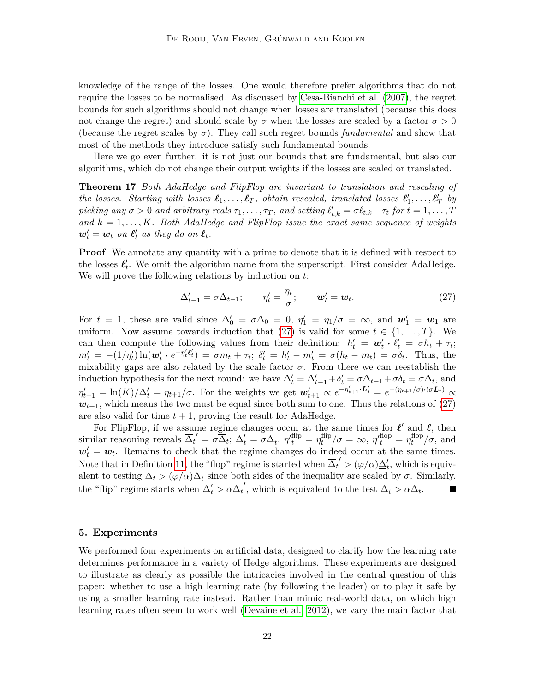knowledge of the range of the losses. One would therefore prefer algorithms that do not require the losses to be normalised. As discussed by [Cesa-Bianchi et al.](#page-33-0) [\(2007\)](#page-33-0), the regret bounds for such algorithms should not change when losses are translated (because this does not change the regret) and should scale by  $\sigma$  when the losses are scaled by a factor  $\sigma > 0$ (because the regret scales by *σ*). They call such regret bounds *fundamental* and show that most of the methods they introduce satisfy such fundamental bounds.

Here we go even further: it is not just our bounds that are fundamental, but also our algorithms, which do not change their output weights if the losses are scaled or translated.

**Theorem 17** *Both AdaHedge and FlipFlop are invariant to translation and rescaling of the losses. Starting with losses*  $\ell_1, \ldots, \ell_T$ , *obtain rescaled, translated losses*  $\ell'_1, \ldots, \ell'_T$  *by picking any*  $\sigma > 0$  *and arbitrary reals*  $\tau_1, \ldots, \tau_T$ , *and setting*  $\ell'_{t,k} = \sigma \ell_{t,k} + \tau_t$  for  $t = 1, \ldots, T$ and  $k = 1, \ldots, K$ *. Both AdaHedge and FlipFlop issue the exact same sequence of weights*  $w'_t = w_t$  on  $\ell'_t$  as they do on  $\ell_t$ .

**Proof** We annotate any quantity with a prime to denote that it is defined with respect to the losses  $\ell'_t$ . We omit the algorithm name from the superscript. First consider AdaHedge. We will prove the following relations by induction on *t*:

<span id="page-22-1"></span>
$$
\Delta'_{t-1} = \sigma \Delta_{t-1}; \qquad \eta'_t = \frac{\eta_t}{\sigma}; \qquad \mathbf{w}'_t = \mathbf{w}_t. \tag{27}
$$

For  $t = 1$ , these are valid since  $\Delta'_0 = \sigma \Delta_0 = 0$ ,  $\eta'_1 = \eta_1/\sigma = \infty$ , and  $w'_1 = w_1$  are uniform. Now assume towards induction that [\(27\)](#page-22-1) is valid for some  $t \in \{1, ..., T\}$ . We can then compute the following values from their definition:  $h'_t = \boldsymbol{w}'_t \cdot \hat{\ell}'_t = \sigma h_t + \tau_t$ ;  $m'_t = -(1/\eta'_t)\ln(\boldsymbol{w}'_t \cdot e^{-\eta'_t \ell'_t}) = \sigma m_t + \tau_t; \ \delta'_t = h'_t - m'_t = \sigma(h_t - m_t) = \sigma \delta_t.$  Thus, the mixability gaps are also related by the scale factor  $\sigma$ . From there we can reestablish the induction hypothesis for the next round: we have  $\Delta'_t = \Delta'_{t-1} + \delta'_t = \sigma \Delta_{t-1} + \sigma \delta_t = \sigma \Delta_t$ , and  $\eta'_{t+1} = \ln(K)/\Delta'_t = \eta_{t+1}/\sigma$ . For the weights we get  $\mathbf{w}'_{t+1} \propto e^{-\eta'_{t+1} \cdot \mathbf{L}'_t} = e^{-(\eta_{t+1}/\sigma) \cdot (\sigma \mathbf{L}_t)} \propto$  $w_{t+1}$ , which means the two must be equal since both sum to one. Thus the relations of  $(27)$ are also valid for time  $t + 1$ , proving the result for AdaHedge.

For FlipFlop, if we assume regime changes occur at the same times for  $\ell'$  and  $\ell$ , then similar reasoning reveals  $\overline{\Delta}_t' = \sigma \overline{\Delta}_t$ ;  $\underline{\Delta}'_t = \sigma \underline{\Delta}_t$ ,  $\eta'^{\text{flip}}_t = \eta_t^{\text{flip}}$  $f_t^{\text{flip}}/\sigma = \infty$ ,  $\eta'_{t}^{\text{flop}} = \eta_t^{\text{flop}}$  $t^{\text{nop}}/\sigma$ , and  $w'_t = w_t$ . Remains to check that the regime changes do indeed occur at the same times. Note that in Definition [11,](#page-17-0) the "flop" regime is started when  $\overline{\Delta}_t' > (\varphi/\alpha)\underline{\Delta}'_t$ , which is equivalent to testing  $\Delta_t > (\varphi/\alpha)\underline{\Delta}_t$  since both sides of the inequality are scaled by  $\sigma$ . Similarly, the "flip" regime starts when  $\Delta'_t > \alpha \overline{\Delta}_t'$ , which is equivalent to the test  $\Delta_t > \alpha \overline{\Delta}_t$ . **The Second Service** 

# <span id="page-22-0"></span>**5. Experiments**

We performed four experiments on artificial data, designed to clarify how the learning rate determines performance in a variety of Hedge algorithms. These experiments are designed to illustrate as clearly as possible the intricacies involved in the central question of this paper: whether to use a high learning rate (by following the leader) or to play it safe by using a smaller learning rate instead. Rather than mimic real-world data, on which high learning rates often seem to work well [\(Devaine et al., 2012\)](#page-33-7), we vary the main factor that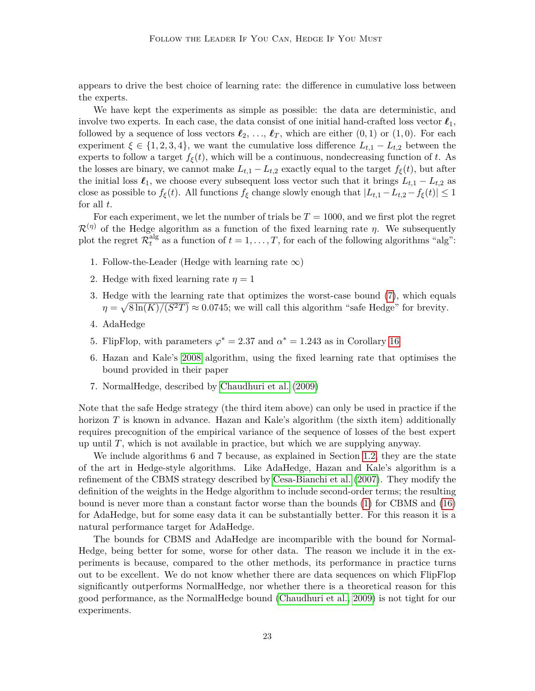appears to drive the best choice of learning rate: the difference in cumulative loss between the experts.

We have kept the experiments as simple as possible: the data are deterministic, and involve two experts. In each case, the data consist of one initial hand-crafted loss vector  $\ell_1$ , followed by a sequence of loss vectors  $\ell_2, \ldots, \ell_T$ , which are either  $(0,1)$  or  $(1,0)$ . For each experiment  $\xi \in \{1, 2, 3, 4\}$ , we want the cumulative loss difference  $L_{t,1} - L_{t,2}$  between the experts to follow a target  $f_{\xi}(t)$ , which will be a continuous, nondecreasing function of *t*. As the losses are binary, we cannot make  $L_{t,1} - L_{t,2}$  exactly equal to the target  $f_{\xi}(t)$ , but after the initial loss  $\ell_1$ , we choose every subsequent loss vector such that it brings  $L_{t,1} - L_{t,2}$  as close as possible to  $f_{\xi}(t)$ . All functions  $f_{\xi}$  change slowly enough that  $|L_{t,1} - L_{t,2} - f_{\xi}(t)| \leq 1$ for all *t*.

For each experiment, we let the number of trials be *T* = 1000, and we first plot the regret  $\mathcal{R}^{(\eta)}$  of the Hedge algorithm as a function of the fixed learning rate  $\eta$ . We subsequently plot the regret  $\mathcal{R}^\text{alg}_t$  $t_t^{\text{aug}}$  as a function of  $t = 1, \ldots, T$ , for each of the following algorithms "alg":

- 1. Follow-the-Leader (Hedge with learning rate  $\infty$ )
- 2. Hedge with fixed learning rate  $\eta = 1$
- 3. Hedge with the learning rate that optimizes the worst-case bound [\(7\)](#page-6-5), which equals  $\eta = \sqrt{8 \ln(K)/(S^2 T)} \approx 0.0745$ ; we will call this algorithm "safe Hedge" for brevity.
- 4. AdaHedge
- 5. FlipFlop, with parameters  $\varphi^* = 2.37$  and  $\alpha^* = 1.243$  as in Corollary [16](#page-21-1)
- 6. Hazan and Kale's [2008](#page-34-2) algorithm, using the fixed learning rate that optimises the bound provided in their paper
- 7. NormalHedge, described by [Chaudhuri et al.](#page-33-8) [\(2009\)](#page-33-8)

Note that the safe Hedge strategy (the third item above) can only be used in practice if the horizon *T* is known in advance. Hazan and Kale's algorithm (the sixth item) additionally requires precognition of the empirical variance of the sequence of losses of the best expert up until *T*, which is not available in practice, but which we are supplying anyway.

We include algorithms 6 and 7 because, as explained in Section [1.2,](#page-4-0) they are the state of the art in Hedge-style algorithms. Like AdaHedge, Hazan and Kale's algorithm is a refinement of the CBMS strategy described by [Cesa-Bianchi et al.](#page-33-0) [\(2007\)](#page-33-0). They modify the definition of the weights in the Hedge algorithm to include second-order terms; the resulting bound is never more than a constant factor worse than the bounds [\(1\)](#page-3-1) for CBMS and [\(16\)](#page-12-2) for AdaHedge, but for some easy data it can be substantially better. For this reason it is a natural performance target for AdaHedge.

The bounds for CBMS and AdaHedge are incomparible with the bound for Normal-Hedge, being better for some, worse for other data. The reason we include it in the experiments is because, compared to the other methods, its performance in practice turns out to be excellent. We do not know whether there are data sequences on which FlipFlop significantly outperforms NormalHedge, nor whether there is a theoretical reason for this good performance, as the NormalHedge bound [\(Chaudhuri et al., 2009\)](#page-33-8) is not tight for our experiments.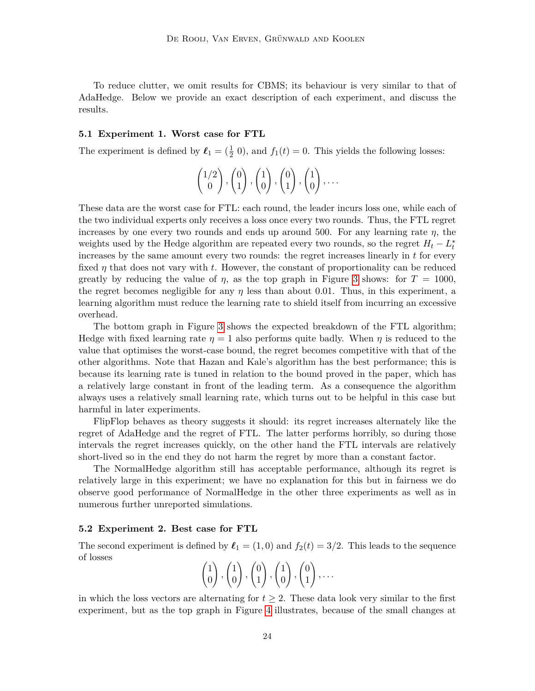To reduce clutter, we omit results for CBMS; its behaviour is very similar to that of AdaHedge. Below we provide an exact description of each experiment, and discuss the results.

# <span id="page-24-0"></span>**5.1 Experiment 1. Worst case for FTL**

The experiment is defined by  $\ell_1 = (\frac{1}{2} \ 0)$ , and  $f_1(t) = 0$ . This yields the following losses:

$$
\begin{pmatrix} 1/2 \\ 0 \end{pmatrix}, \begin{pmatrix} 0 \\ 1 \end{pmatrix}, \begin{pmatrix} 1 \\ 0 \end{pmatrix}, \begin{pmatrix} 0 \\ 1 \end{pmatrix}, \begin{pmatrix} 1 \\ 0 \end{pmatrix}, \dots
$$

These data are the worst case for FTL: each round, the leader incurs loss one, while each of the two individual experts only receives a loss once every two rounds. Thus, the FTL regret increases by one every two rounds and ends up around 500. For any learning rate *η*, the weights used by the Hedge algorithm are repeated every two rounds, so the regret  $H_t - L_t^*$ increases by the same amount every two rounds: the regret increases linearly in *t* for every fixed *η* that does not vary with *t*. However, the constant of proportionality can be reduced greatly by reducing the value of  $\eta$ , as the top graph in Figure [3](#page-27-0) shows: for  $T = 1000$ , the regret becomes negligible for any  $\eta$  less than about 0.01. Thus, in this experiment, a learning algorithm must reduce the learning rate to shield itself from incurring an excessive overhead.

The bottom graph in Figure [3](#page-27-0) shows the expected breakdown of the FTL algorithm; Hedge with fixed learning rate  $\eta = 1$  also performs quite badly. When  $\eta$  is reduced to the value that optimises the worst-case bound, the regret becomes competitive with that of the other algorithms. Note that Hazan and Kale's algorithm has the best performance; this is because its learning rate is tuned in relation to the bound proved in the paper, which has a relatively large constant in front of the leading term. As a consequence the algorithm always uses a relatively small learning rate, which turns out to be helpful in this case but harmful in later experiments.

FlipFlop behaves as theory suggests it should: its regret increases alternately like the regret of AdaHedge and the regret of FTL. The latter performs horribly, so during those intervals the regret increases quickly, on the other hand the FTL intervals are relatively short-lived so in the end they do not harm the regret by more than a constant factor.

The NormalHedge algorithm still has acceptable performance, although its regret is relatively large in this experiment; we have no explanation for this but in fairness we do observe good performance of NormalHedge in the other three experiments as well as in numerous further unreported simulations.

#### <span id="page-24-1"></span>**5.2 Experiment 2. Best case for FTL**

The second experiment is defined by  $\ell_1 = (1,0)$  and  $f_2(t) = 3/2$ . This leads to the sequence of losses

$$
\begin{pmatrix} 1 \\ 0 \end{pmatrix}, \begin{pmatrix} 1 \\ 0 \end{pmatrix}, \begin{pmatrix} 0 \\ 1 \end{pmatrix}, \begin{pmatrix} 1 \\ 0 \end{pmatrix}, \begin{pmatrix} 0 \\ 1 \end{pmatrix}, \dots
$$

in which the loss vectors are alternating for  $t \geq 2$ . These data look very similar to the first experiment, but as the top graph in Figure [4](#page-28-0) illustrates, because of the small changes at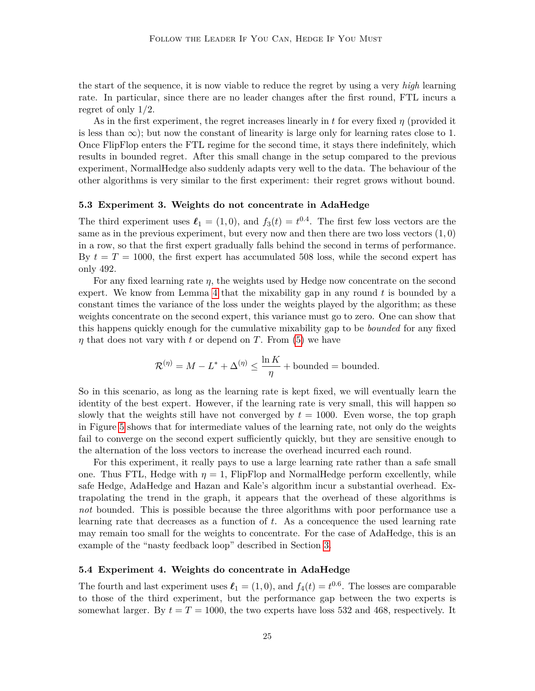the start of the sequence, it is now viable to reduce the regret by using a very *high* learning rate. In particular, since there are no leader changes after the first round, FTL incurs a regret of only 1*/*2.

As in the first experiment, the regret increases linearly in *t* for every fixed *η* (provided it is less than  $\infty$ ); but now the constant of linearity is large only for learning rates close to 1. Once FlipFlop enters the FTL regime for the second time, it stays there indefinitely, which results in bounded regret. After this small change in the setup compared to the previous experiment, NormalHedge also suddenly adapts very well to the data. The behaviour of the other algorithms is very similar to the first experiment: their regret grows without bound.

#### **5.3 Experiment 3. Weights do not concentrate in AdaHedge**

The third experiment uses  $\ell_1 = (1,0)$ , and  $f_3(t) = t^{0.4}$ . The first few loss vectors are the same as in the previous experiment, but every now and then there are two loss vectors (1*,* 0) in a row, so that the first expert gradually falls behind the second in terms of performance. By  $t = T = 1000$ , the first expert has accumulated 508 loss, while the second expert has only 492.

For any fixed learning rate *η*, the weights used by Hedge now concentrate on the second expert. We know from Lemma [4](#page-9-2) that the mixability gap in any round *t* is bounded by a constant times the variance of the loss under the weights played by the algorithm; as these weights concentrate on the second expert, this variance must go to zero. One can show that this happens quickly enough for the cumulative mixability gap to be *bounded* for any fixed *η* that does not vary with *t* or depend on *T*. From [\(5\)](#page-6-6) we have

$$
\mathcal{R}^{(\eta)} = M - L^* + \Delta^{(\eta)} \le \frac{\ln K}{\eta} + \text{bounded} = \text{bounded}.
$$

So in this scenario, as long as the learning rate is kept fixed, we will eventually learn the identity of the best expert. However, if the learning rate is very small, this will happen so slowly that the weights still have not converged by  $t = 1000$ . Even worse, the top graph in Figure [5](#page-29-0) shows that for intermediate values of the learning rate, not only do the weights fail to converge on the second expert sufficiently quickly, but they are sensitive enough to the alternation of the loss vectors to increase the overhead incurred each round.

For this experiment, it really pays to use a large learning rate rather than a safe small one. Thus FTL, Hedge with  $\eta = 1$ , FlipFlop and NormalHedge perform excellently, while safe Hedge, AdaHedge and Hazan and Kale's algorithm incur a substantial overhead. Extrapolating the trend in the graph, it appears that the overhead of these algorithms is *not* bounded. This is possible because the three algorithms with poor performance use a learning rate that decreases as a function of *t*. As a concequence the used learning rate may remain too small for the weights to concentrate. For the case of AdaHedge, this is an example of the "nasty feedback loop" described in Section [3.](#page-14-0)

# <span id="page-25-0"></span>**5.4 Experiment 4. Weights do concentrate in AdaHedge**

The fourth and last experiment uses  $\ell_1 = (1,0)$ , and  $f_4(t) = t^{0.6}$ . The losses are comparable to those of the third experiment, but the performance gap between the two experts is somewhat larger. By  $t = T = 1000$ , the two experts have loss 532 and 468, respectively. It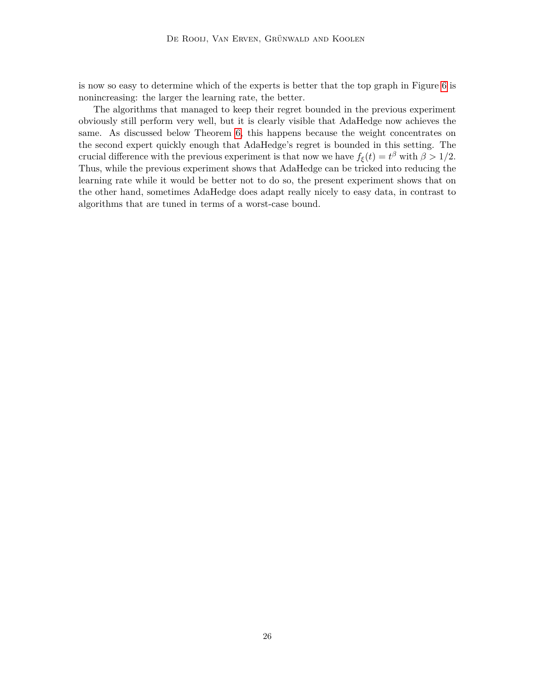is now so easy to determine which of the experts is better that the top graph in Figure [6](#page-30-0) is nonincreasing: the larger the learning rate, the better.

The algorithms that managed to keep their regret bounded in the previous experiment obviously still perform very well, but it is clearly visible that AdaHedge now achieves the same. As discussed below Theorem [6,](#page-11-0) this happens because the weight concentrates on the second expert quickly enough that AdaHedge's regret is bounded in this setting. The crucial difference with the previous experiment is that now we have  $f_{\xi}(t) = t^{\beta}$  with  $\beta > 1/2$ . Thus, while the previous experiment shows that AdaHedge can be tricked into reducing the learning rate while it would be better not to do so, the present experiment shows that on the other hand, sometimes AdaHedge does adapt really nicely to easy data, in contrast to algorithms that are tuned in terms of a worst-case bound.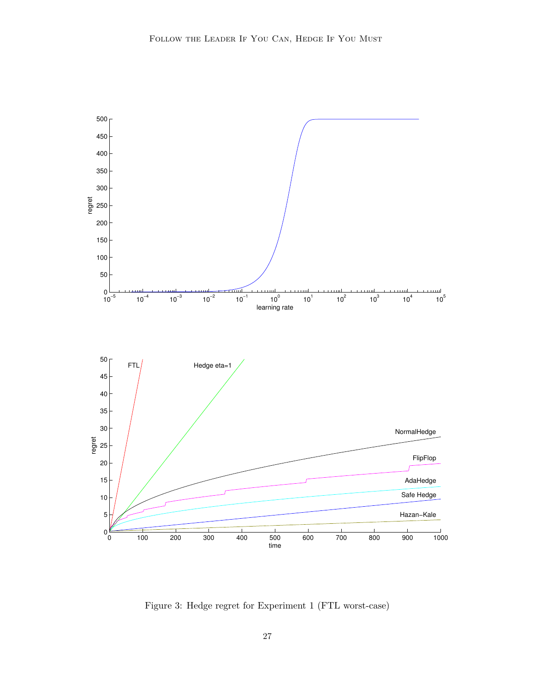

<span id="page-27-0"></span>Figure 3: Hedge regret for Experiment 1 (FTL worst-case)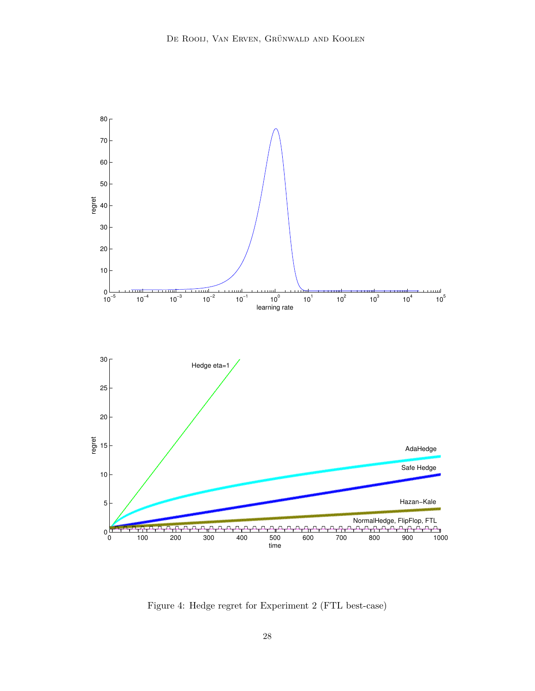

<span id="page-28-0"></span>Figure 4: Hedge regret for Experiment 2 (FTL best-case)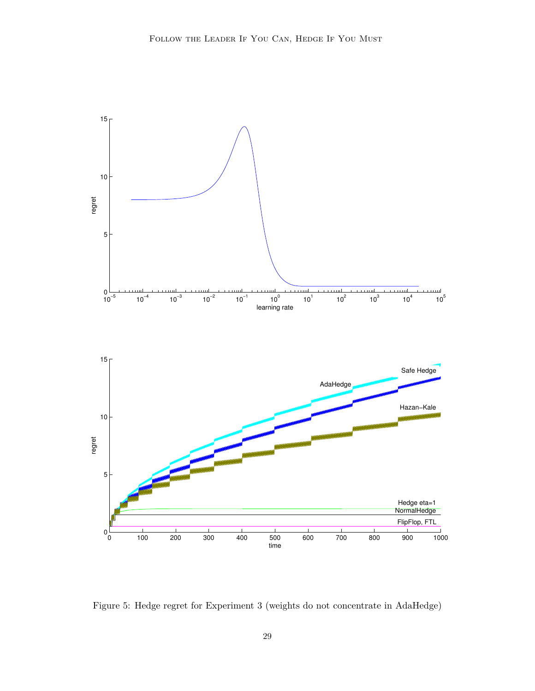

<span id="page-29-0"></span>Figure 5: Hedge regret for Experiment 3 (weights do not concentrate in AdaHedge)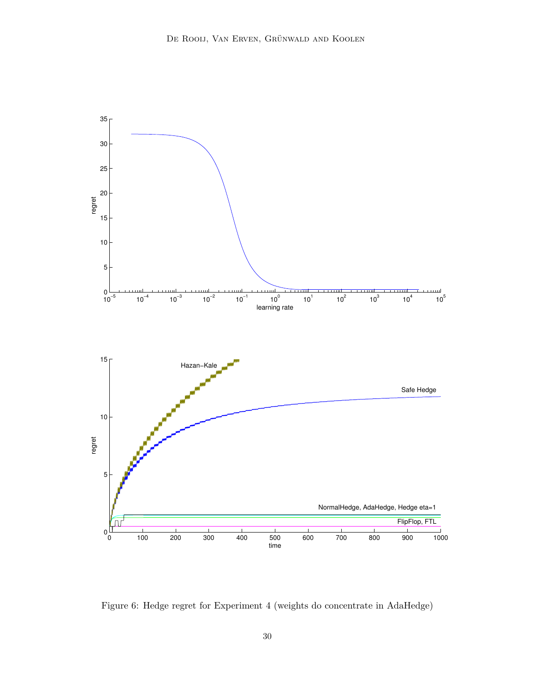

<span id="page-30-0"></span>Figure 6: Hedge regret for Experiment 4 (weights do concentrate in AdaHedge)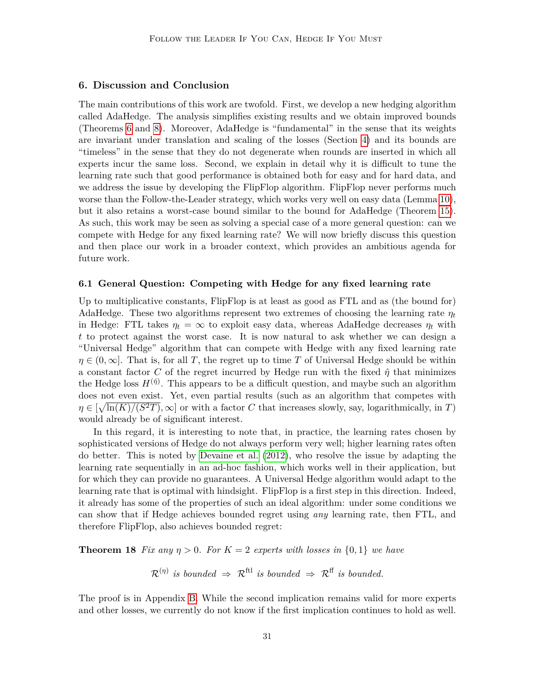# <span id="page-31-0"></span>**6. Discussion and Conclusion**

The main contributions of this work are twofold. First, we develop a new hedging algorithm called AdaHedge. The analysis simplifies existing results and we obtain improved bounds (Theorems [6](#page-11-0) and [8\)](#page-12-0). Moreover, AdaHedge is "fundamental" in the sense that its weights are invariant under translation and scaling of the losses (Section [4\)](#page-21-0) and its bounds are "timeless" in the sense that they do not degenerate when rounds are inserted in which all experts incur the same loss. Second, we explain in detail why it is difficult to tune the learning rate such that good performance is obtained both for easy and for hard data, and we address the issue by developing the FlipFlop algorithm. FlipFlop never performs much worse than the Follow-the-Leader strategy, which works very well on easy data (Lemma [10\)](#page-15-0), but it also retains a worst-case bound similar to the bound for AdaHedge (Theorem [15\)](#page-20-0). As such, this work may be seen as solving a special case of a more general question: can we compete with Hedge for any fixed learning rate? We will now briefly discuss this question and then place our work in a broader context, which provides an ambitious agenda for future work.

## <span id="page-31-1"></span>**6.1 General Question: Competing with Hedge for any fixed learning rate**

Up to multiplicative constants, FlipFlop is at least as good as FTL and as (the bound for) AdaHedge. These two algorithms represent two extremes of choosing the learning rate *η<sup>t</sup>* in Hedge: FTL takes  $\eta_t = \infty$  to exploit easy data, whereas AdaHedge decreases  $\eta_t$  with *t* to protect against the worst case. It is now natural to ask whether we can design a "Universal Hedge" algorithm that can compete with Hedge with any fixed learning rate  $\eta \in (0,\infty]$ . That is, for all *T*, the regret up to time *T* of Universal Hedge should be within a constant factor *C* of the regret incurred by Hedge run with the fixed  $\hat{\eta}$  that minimizes the Hedge loss  $H^{(\hat{\eta})}$ . This appears to be a difficult question, and maybe such an algorithm does not even exist. Yet, even partial results (such as an algorithm that competes with  $\eta \in [\sqrt{\ln(K)/(S^2T)}, \infty]$  or with a factor *C* that increases slowly, say, logarithmically, in *T*) would already be of significant interest.

In this regard, it is interesting to note that, in practice, the learning rates chosen by sophisticated versions of Hedge do not always perform very well; higher learning rates often do better. This is noted by [Devaine et al.](#page-33-7) [\(2012\)](#page-33-7), who resolve the issue by adapting the learning rate sequentially in an ad-hoc fashion, which works well in their application, but for which they can provide no guarantees. A Universal Hedge algorithm would adapt to the learning rate that is optimal with hindsight. FlipFlop is a first step in this direction. Indeed, it already has some of the properties of such an ideal algorithm: under some conditions we can show that if Hedge achieves bounded regret using *any* learning rate, then FTL, and therefore FlipFlop, also achieves bounded regret:

**Theorem 18** *Fix any*  $\eta > 0$ *. For*  $K = 2$  *experts with losses in*  $\{0, 1\}$  *we have* 

<span id="page-31-2"></span>
$$
\mathcal{R}^{(\eta)}
$$
 is bounded  $\Rightarrow$   $\mathcal{R}^{\text{ftl}}$  is bounded  $\Rightarrow$   $\mathcal{R}^{\text{ff}}$  is bounded.

The proof is in Appendix [B.](#page-35-2) While the second implication remains valid for more experts and other losses, we currently do not know if the first implication continues to hold as well.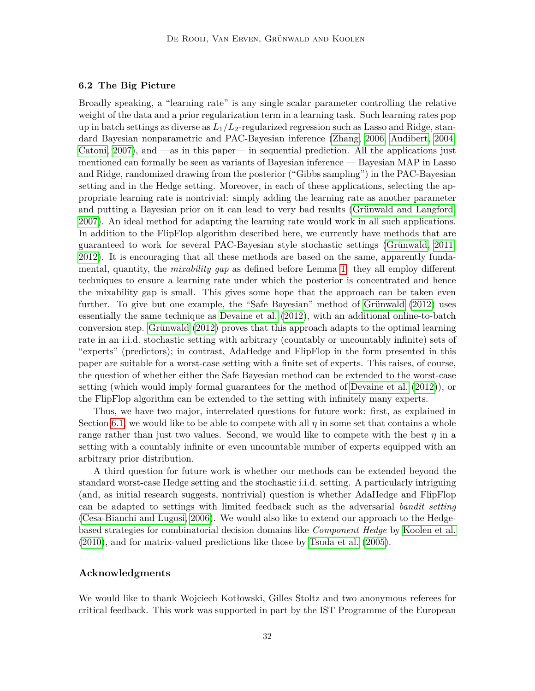# <span id="page-32-0"></span>**6.2 The Big Picture**

Broadly speaking, a "learning rate" is any single scalar parameter controlling the relative weight of the data and a prior regularization term in a learning task. Such learning rates pop up in batch settings as diverse as *L*1*/L*2-regularized regression such as Lasso and Ridge, standard Bayesian nonparametric and PAC-Bayesian inference [\(Zhang, 2006;](#page-35-3) [Audibert, 2004;](#page-33-10) Catoni,  $2007$ , and —as in this paper— in sequential prediction. All the applications just mentioned can formally be seen as variants of Bayesian inference — Bayesian MAP in Lasso and Ridge, randomized drawing from the posterior ("Gibbs sampling") in the PAC-Bayesian setting and in the Hedge setting. Moreover, in each of these applications, selecting the appropriate learning rate is nontrivial: simply adding the learning rate as another parameter and putting a Bayesian prior on it can lead to very bad results [\(Grünwald and Langford,](#page-34-11) [2007\)](#page-34-11). An ideal method for adapting the learning rate would work in all such applications. In addition to the FlipFlop algorithm described here, we currently have methods that are guaranteed to work for several PAC-Bayesian style stochastic settings [\(Grünwald, 2011,](#page-34-7) [2012\)](#page-34-8). It is encouraging that all these methods are based on the same, apparently fundamental, quantity, the *mixability gap* as defined before Lemma [1:](#page-6-2) they all employ different techniques to ensure a learning rate under which the posterior is concentrated and hence the mixability gap is small. This gives some hope that the approach can be taken even further. To give but one example, the "Safe Bayesian" method of [Grünwald](#page-34-8) [\(2012\)](#page-34-8) uses essentially the same technique as [Devaine et al. \(2012\)](#page-33-7), with an additional online-to-batch conversion step. [Grünwald \(2012\)](#page-34-8) proves that this approach adapts to the optimal learning rate in an i.i.d. stochastic setting with arbitrary (countably or uncountably infinite) sets of "experts" (predictors); in contrast, AdaHedge and FlipFlop in the form presented in this paper are suitable for a worst-case setting with a finite set of experts. This raises, of course, the question of whether either the Safe Bayesian method can be extended to the worst-case setting (which would imply formal guarantees for the method of [Devaine et al. \(2012\)](#page-33-7)), or the FlipFlop algorithm can be extended to the setting with infinitely many experts.

Thus, we have two major, interrelated questions for future work: first, as explained in Section [6.1,](#page-31-1) we would like to be able to compete with all  $\eta$  in some set that contains a whole range rather than just two values. Second, we would like to compete with the best *η* in a setting with a countably infinite or even uncountable number of experts equipped with an arbitrary prior distribution.

A third question for future work is whether our methods can be extended beyond the standard worst-case Hedge setting and the stochastic i.i.d. setting. A particularly intriguing (and, as initial research suggests, nontrivial) question is whether AdaHedge and FlipFlop can be adapted to settings with limited feedback such as the adversarial *bandit setting* [\(Cesa-Bianchi and Lugosi, 2006\)](#page-33-2). We would also like to extend our approach to the Hedgebased strategies for combinatorial decision domains like *Component Hedge* by [Koolen et al.](#page-34-12) [\(2010\)](#page-34-12), and for matrix-valued predictions like those by [Tsuda et al.](#page-34-13) [\(2005\)](#page-34-13).

# **Acknowledgments**

We would like to thank Wojciech Kotłowski, Gilles Stoltz and two anonymous referees for critical feedback. This work was supported in part by the IST Programme of the European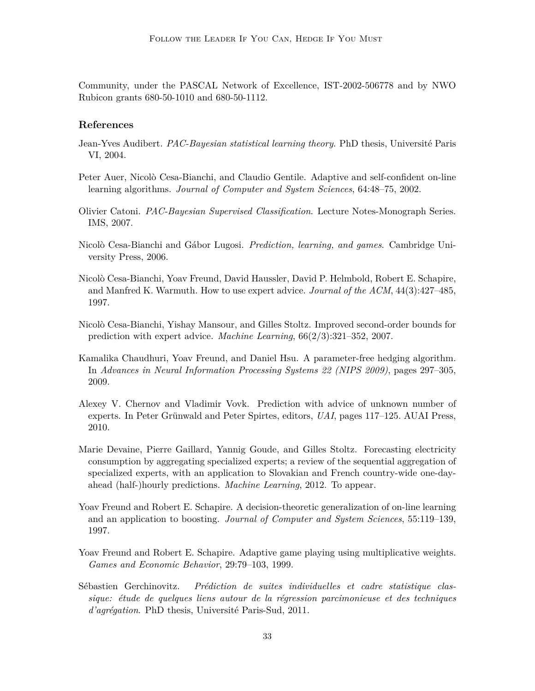Community, under the PASCAL Network of Excellence, IST-2002-506778 and by NWO Rubicon grants 680-50-1010 and 680-50-1112.

# **References**

- <span id="page-33-10"></span>Jean-Yves Audibert. *PAC-Bayesian statistical learning theory*. PhD thesis, Université Paris VI, 2004.
- <span id="page-33-5"></span>Peter Auer, Nicolò Cesa-Bianchi, and Claudio Gentile. Adaptive and self-confident on-line learning algorithms. *Journal of Computer and System Sciences*, 64:48–75, 2002.
- <span id="page-33-11"></span>Olivier Catoni. *PAC-Bayesian Supervised Classification*. Lecture Notes-Monograph Series. IMS, 2007.
- <span id="page-33-2"></span>Nicolò Cesa-Bianchi and Gábor Lugosi. *Prediction, learning, and games*. Cambridge University Press, 2006.
- <span id="page-33-4"></span>Nicolò Cesa-Bianchi, Yoav Freund, David Haussler, David P. Helmbold, Robert E. Schapire, and Manfred K. Warmuth. How to use expert advice. *Journal of the ACM*, 44(3):427–485, 1997.
- <span id="page-33-0"></span>Nicolò Cesa-Bianchi, Yishay Mansour, and Gilles Stoltz. Improved second-order bounds for prediction with expert advice. *Machine Learning*, 66(2/3):321–352, 2007.
- <span id="page-33-8"></span>Kamalika Chaudhuri, Yoav Freund, and Daniel Hsu. A parameter-free hedging algorithm. In *Advances in Neural Information Processing Systems 22 (NIPS 2009)*, pages 297–305, 2009.
- <span id="page-33-9"></span>Alexey V. Chernov and Vladimir Vovk. Prediction with advice of unknown number of experts. In Peter Grünwald and Peter Spirtes, editors, *UAI*, pages 117–125. AUAI Press, 2010.
- <span id="page-33-7"></span>Marie Devaine, Pierre Gaillard, Yannig Goude, and Gilles Stoltz. Forecasting electricity consumption by aggregating specialized experts; a review of the sequential aggregation of specialized experts, with an application to Slovakian and French country-wide one-dayahead (half-)hourly predictions. *Machine Learning*, 2012. To appear.
- <span id="page-33-1"></span>Yoav Freund and Robert E. Schapire. A decision-theoretic generalization of on-line learning and an application to boosting. *Journal of Computer and System Sciences*, 55:119–139, 1997.
- <span id="page-33-3"></span>Yoav Freund and Robert E. Schapire. Adaptive game playing using multiplicative weights. *Games and Economic Behavior*, 29:79–103, 1999.
- <span id="page-33-6"></span>Sébastien Gerchinovitz. *Prédiction de suites individuelles et cadre statistique classique: étude de quelques liens autour de la régression parcimonieuse et des techniques d'agrégation*. PhD thesis, Université Paris-Sud, 2011.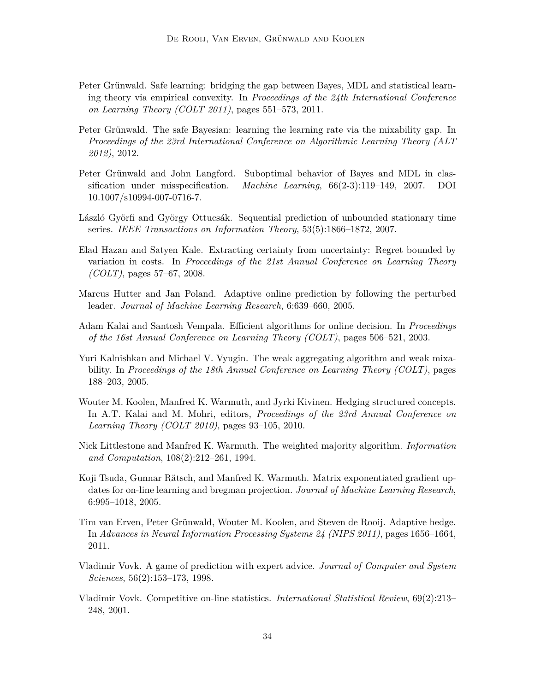- <span id="page-34-7"></span>Peter Grünwald. Safe learning: bridging the gap between Bayes, MDL and statistical learning theory via empirical convexity. In *Proceedings of the 24th International Conference on Learning Theory (COLT 2011)*, pages 551–573, 2011.
- <span id="page-34-8"></span>Peter Grünwald. The safe Bayesian: learning the learning rate via the mixability gap. In *Proceedings of the 23rd International Conference on Algorithmic Learning Theory (ALT 2012)*, 2012.
- <span id="page-34-11"></span>Peter Grünwald and John Langford. Suboptimal behavior of Bayes and MDL in classification under misspecification. *Machine Learning*, 66(2-3):119–149, 2007. DOI 10.1007/s10994-007-0716-7.
- <span id="page-34-4"></span>László Györfi and György Ottucsák. Sequential prediction of unbounded stationary time series. *IEEE Transactions on Information Theory*, 53(5):1866–1872, 2007.
- <span id="page-34-2"></span>Elad Hazan and Satyen Kale. Extracting certainty from uncertainty: Regret bounded by variation in costs. In *Proceedings of the 21st Annual Conference on Learning Theory (COLT)*, pages 57–67, 2008.
- <span id="page-34-6"></span>Marcus Hutter and Jan Poland. Adaptive online prediction by following the perturbed leader. *Journal of Machine Learning Research*, 6:639–660, 2005.
- <span id="page-34-5"></span>Adam Kalai and Santosh Vempala. Efficient algorithms for online decision. In *Proceedings of the 16st Annual Conference on Learning Theory (COLT)*, pages 506–521, 2003.
- <span id="page-34-10"></span>Yuri Kalnishkan and Michael V. Vyugin. The weak aggregating algorithm and weak mixability. In *Proceedings of the 18th Annual Conference on Learning Theory (COLT)*, pages 188–203, 2005.
- <span id="page-34-12"></span>Wouter M. Koolen, Manfred K. Warmuth, and Jyrki Kivinen. Hedging structured concepts. In A.T. Kalai and M. Mohri, editors, *Proceedings of the 23rd Annual Conference on Learning Theory (COLT 2010)*, pages 93–105, 2010.
- <span id="page-34-0"></span>Nick Littlestone and Manfred K. Warmuth. The weighted majority algorithm. *Information and Computation*, 108(2):212–261, 1994.
- <span id="page-34-13"></span>Koji Tsuda, Gunnar Rätsch, and Manfred K. Warmuth. Matrix exponentiated gradient updates for on-line learning and bregman projection. *Journal of Machine Learning Research*, 6:995–1018, 2005.
- <span id="page-34-3"></span>Tim van Erven, Peter Grünwald, Wouter M. Koolen, and Steven de Rooij. Adaptive hedge. In *Advances in Neural Information Processing Systems 24 (NIPS 2011)*, pages 1656–1664, 2011.
- <span id="page-34-1"></span>Vladimir Vovk. A game of prediction with expert advice. *Journal of Computer and System Sciences*, 56(2):153–173, 1998.
- <span id="page-34-9"></span>Vladimir Vovk. Competitive on-line statistics. *International Statistical Review*, 69(2):213– 248, 2001.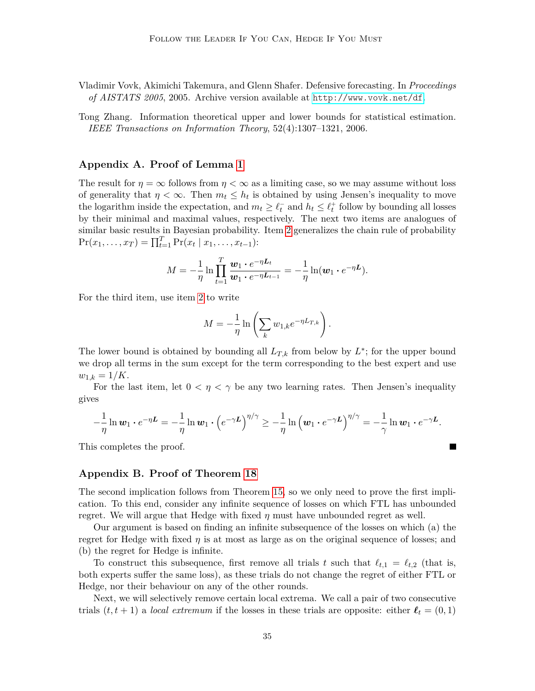<span id="page-35-0"></span>Vladimir Vovk, Akimichi Takemura, and Glenn Shafer. Defensive forecasting. In *Proceedings of AISTATS 2005*, 2005. Archive version available at <http://www.vovk.net/df>.

<span id="page-35-3"></span>Tong Zhang. Information theoretical upper and lower bounds for statistical estimation. *IEEE Transactions on Information Theory*, 52(4):1307–1321, 2006.

# <span id="page-35-1"></span>**Appendix A. Proof of Lemma [1](#page-6-2)**

The result for  $\eta = \infty$  follows from  $\eta < \infty$  as a limiting case, so we may assume without loss of generality that  $\eta < \infty$ . Then  $m_t \leq h_t$  is obtained by using Jensen's inequality to move the logarithm inside the expectation, and  $m_t \geq \ell_t^-$  and  $h_t \leq \ell_t^+$  follow by bounding all losses by their minimal and maximal values, respectively. The next two items are analogues of similar basic results in Bayesian probability. Item [2](#page-6-7) generalizes the chain rule of probability  $Pr(x_1, ..., x_T) = \prod_{t=1}^T Pr(x_t | x_1, ..., x_{t-1})$ :

$$
M=-\frac{1}{\eta}\ln\prod_{t=1}^T\frac{\boldsymbol{w}_1\cdot e^{-\eta\boldsymbol{L}_t}}{\boldsymbol{w}_1\cdot e^{-\eta\boldsymbol{L}_{t-1}}}=-\frac{1}{\eta}\ln(\boldsymbol{w}_1\cdot e^{-\eta\boldsymbol{L}}).
$$

For the third item, use item [2](#page-6-7) to write

$$
M = -\frac{1}{\eta} \ln \left( \sum_{k} w_{1,k} e^{-\eta L_{T,k}} \right).
$$

The lower bound is obtained by bounding all  $L_{T,k}$  from below by  $L^*$ ; for the upper bound we drop all terms in the sum except for the term corresponding to the best expert and use  $w_{1,k} = 1/K$ .

For the last item, let  $0 < \eta < \gamma$  be any two learning rates. Then Jensen's inequality gives

$$
-\frac{1}{\eta}\ln w_1 \cdot e^{-\eta L} = -\frac{1}{\eta}\ln w_1 \cdot \left(e^{-\gamma L}\right)^{\eta/\gamma} \geq -\frac{1}{\eta}\ln\left(w_1 \cdot e^{-\gamma L}\right)^{\eta/\gamma} = -\frac{1}{\gamma}\ln w_1 \cdot e^{-\gamma L}.
$$

This completes the proof.

# <span id="page-35-2"></span>**Appendix B. Proof of Theorem [18](#page-31-2)**

The second implication follows from Theorem [15,](#page-20-0) so we only need to prove the first implication. To this end, consider any infinite sequence of losses on which FTL has unbounded regret. We will argue that Hedge with fixed  $\eta$  must have unbounded regret as well.

Our argument is based on finding an infinite subsequence of the losses on which (a) the regret for Hedge with fixed  $\eta$  is at most as large as on the original sequence of losses; and (b) the regret for Hedge is infinite.

To construct this subsequence, first remove all trials *t* such that  $\ell_{t,1} = \ell_{t,2}$  (that is, both experts suffer the same loss), as these trials do not change the regret of either FTL or Hedge, nor their behaviour on any of the other rounds.

Next, we will selectively remove certain local extrema. We call a pair of two consecutive trials  $(t, t+1)$  a *local extremum* if the losses in these trials are opposite: either  $\ell_t = (0, 1)$